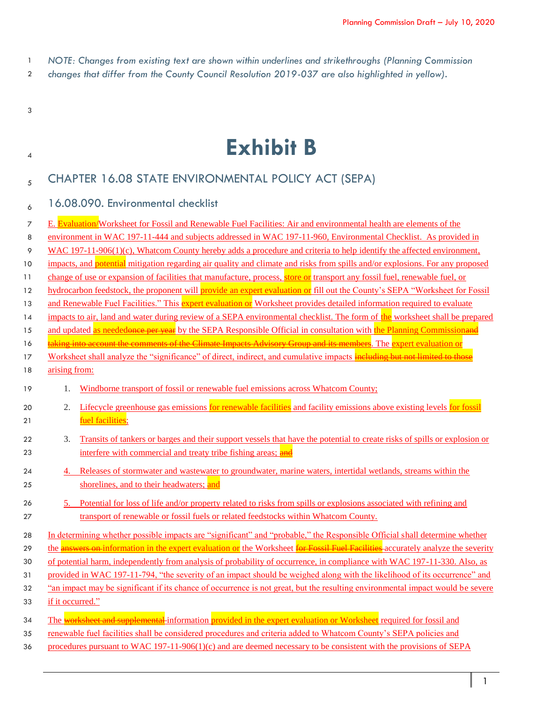- 1 *NOTE: Changes from existing text are shown within underlines and strikethroughs (Planning Commission*
- 2 *changes that differ from the County Council Resolution 2019-037 are also highlighted in yellow).*
- 3

# <sup>4</sup> **Exhibit B**

# <sub>5</sub> CHAPTER 16.08 STATE ENVIRONMENTAL POLICY ACT (SEPA)

# 6 16.08.090. Environmental checklist

| 7  |                  | E. Evaluation/Worksheet for Fossil and Renewable Fuel Facilities: Air and environmental health are elements of the                            |
|----|------------------|-----------------------------------------------------------------------------------------------------------------------------------------------|
| 8  |                  | environment in WAC 197-11-444 and subjects addressed in WAC 197-11-960, Environmental Checklist. As provided in                               |
| 9  |                  | $WAC 197-11-906(1)(c)$ , Whatcom County hereby adds a procedure and criteria to help identify the affected environment,                       |
| 10 |                  | impacts, and potential mitigation regarding air quality and climate and risks from spills and/or explosions. For any proposed                 |
| 11 |                  | change of use or expansion of facilities that manufacture, process, store or transport any fossil fuel, renewable fuel, or                    |
| 12 |                  | hydrocarbon feedstock, the proponent will provide an expert evaluation or fill out the County's SEPA "Worksheet for Fossil                    |
| 13 |                  | and Renewable Fuel Facilities." This expert evaluation or Worksheet provides detailed information required to evaluate                        |
| 14 |                  | impacts to air, land and water during review of a SEPA environmental checklist. The form of the worksheet shall be prepared                   |
| 15 |                  | and updated as neededonce per year by the SEPA Responsible Official in consultation with the Planning Commissionand                           |
| 16 |                  | <mark>taking into account the comments of the Climate Impacts Advisory Group and its members</mark> . The <mark>expert evaluation or</mark>   |
| 17 |                  | Worksheet shall analyze the "significance" of direct, indirect, and cumulative impacts including but not limited to those                     |
| 18 | arising from:    |                                                                                                                                               |
| 19 | 1.               | Windborne transport of fossil or renewable fuel emissions across Whatcom County;                                                              |
| 20 | 2.               | Lifecycle greenhouse gas emissions for renewable facilities and facility emissions above existing levels for fossil                           |
| 21 |                  | fuel facilities;                                                                                                                              |
| 22 | 3.               | Transits of tankers or barges and their support vessels that have the potential to create risks of spills or explosion or                     |
| 23 |                  | interfere with commercial and treaty tribe fishing areas; and                                                                                 |
| 24 |                  | Releases of stormwater and wastewater to groundwater, marine waters, intertidal wetlands, streams within the                                  |
| 25 |                  | shorelines, and to their headwaters; and                                                                                                      |
| 26 | 5.               | Potential for loss of life and/or property related to risks from spills or explosions associated with refining and                            |
| 27 |                  | transport of renewable or fossil fuels or related feedstocks within Whatcom County.                                                           |
| 28 |                  | In determining whether possible impacts are "significant" and "probable," the Responsible Official shall determine whether                    |
| 29 |                  | the <b>answers on information in the expert evaluation or</b> the Worksheet <b>for Fossil Fuel Facilities</b> accurately analyze the severity |
| 30 |                  | of potential harm, independently from analysis of probability of occurrence, in compliance with WAC 197-11-330. Also, as                      |
| 31 |                  | provided in WAC 197-11-794, "the severity of an impact should be weighed along with the likelihood of its occurrence" and                     |
| 32 |                  | "an impact may be significant if its chance of occurrence is not great, but the resulting environmental impact would be severe                |
| 33 | if it occurred." |                                                                                                                                               |
| 34 |                  | The worksheet and supplemental-information provided in the expert evaluation or Worksheet required for fossil and                             |
| 35 |                  | renewable fuel facilities shall be considered procedures and criteria added to Whatcom County's SEPA policies and                             |
| 36 |                  | procedures pursuant to WAC $197-11-906(1)(c)$ and are deemed necessary to be consistent with the provisions of SEPA                           |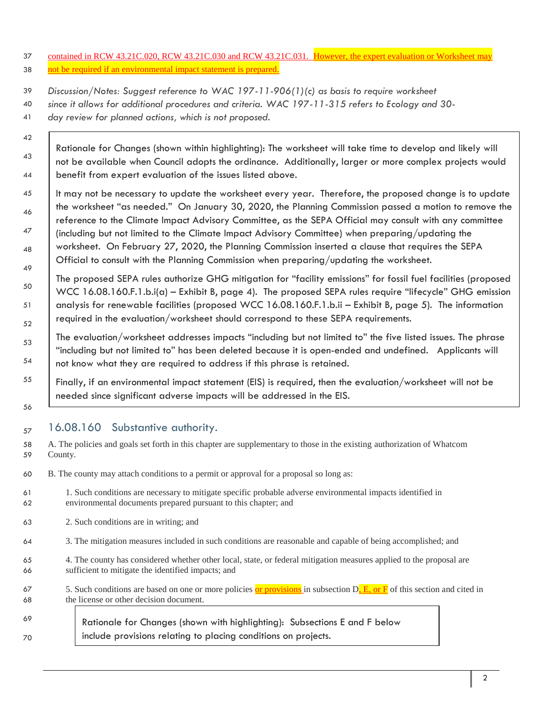- 37 contained in RCW 43.21C.020, RCW 43.21C.030 and RCW 43.21C.031. However, the expert evaluation or Worksheet may 38 not be required if an environmental impact statement is prepared.
- 39 *Discussion/Notes: Suggest reference to WAC 197-11-906(1)(c) as basis to require worksheet*
- 40 *since it allows for additional procedures and criteria. WAC 197-11-315 refers to Ecology and 30-* 41 *day review for planned actions, which is not proposed.*
- 42 43 44 Rationale for Changes (shown within highlighting): The worksheet will take time to develop and likely will not be available when Council adopts the ordinance. Additionally, larger or more complex projects would benefit from expert evaluation of the issues listed above.
- 45 46 47 48 49 It may not be necessary to update the worksheet every year. Therefore, the proposed change is to update the worksheet "as needed." On January 30, 2020, the Planning Commission passed a motion to remove the reference to the Climate Impact Advisory Committee, as the SEPA Official may consult with any committee (including but not limited to the Climate Impact Advisory Committee) when preparing/updating the worksheet. On February 27, 2020, the Planning Commission inserted a clause that requires the SEPA Official to consult with the Planning Commission when preparing/updating the worksheet.
	- The proposed SEPA rules authorize GHG mitigation for "facility emissions" for fossil fuel facilities (proposed WCC 16.08.160.F.1.b.i(a) – Exhibit B, page 4). The proposed SEPA rules require "lifecycle" GHG emission analysis for renewable facilities (proposed WCC 16.08.160.F.1.b.ii – Exhibit B, page 5). The information required in the evaluation/worksheet should correspond to these SEPA requirements.
- 53 54 The evaluation/worksheet addresses impacts "including but not limited to" the five listed issues. The phrase "including but not limited to" has been deleted because it is open-ended and undefined. Applicants will not know what they are required to address if this phrase is retained.
	- Finally, if an environmental impact statement (EIS) is required, then the evaluation/worksheet will not be needed since significant adverse impacts will be addressed in the EIS.
- $16.08.160$  Substantive authority.

50

51

52

55

- 58 A. The policies and goals set forth in this chapter are supplementary to those in the existing authorization of Whatcom 59 County.
- 60 B. The county may attach conditions to a permit or approval for a proposal so long as:
- 61 1. Such conditions are necessary to mitigate specific probable adverse environmental impacts identified in 62 environmental documents prepared pursuant to this chapter; and
- 63 2. Such conditions are in writing; and
- 64 3. The mitigation measures included in such conditions are reasonable and capable of being accomplished; and
- 65 4. The county has considered whether other local, state, or federal mitigation measures applied to the proposal are 66 sufficient to mitigate the identified impacts; and
- 67 5. Such conditions are based on one or more policies or provisions in subsection  $D_1 E$ , or  $F$  of this section and cited in 68 the license or other decision document.
- 69 70 Rationale for Changes (shown with highlighting): Subsections E and F below include provisions relating to placing conditions on projects.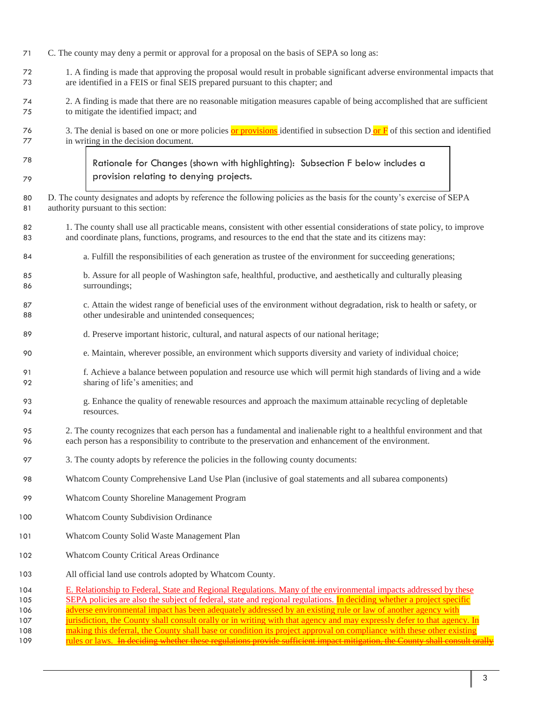- C. The county may deny a permit or approval for a proposal on the basis of SEPA so long as:
- 1. A finding is made that approving the proposal would result in probable significant adverse environmental impacts that are identified in a FEIS or final SEIS prepared pursuant to this chapter; and
- 2. A finding is made that there are no reasonable mitigation measures capable of being accomplished that are sufficient to mitigate the identified impact; and
- 76 3. The denial is based on one or more policies or provisions identified in subsection D or  $\overline{F}$  of this section and identified in writing in the decision document.
- Rationale for Changes (shown with highlighting): Subsection F below includes a provision relating to denying projects.
- D. The county designates and adopts by reference the following policies as the basis for the county's exercise of SEPA authority pursuant to this section:
- 82 1. The county shall use all practicable means, consistent with other essential considerations of state policy, to improve and coordinate plans, functions, programs, and resources to the end that the state and its citizens may:
- a. Fulfill the responsibilities of each generation as trustee of the environment for succeeding generations;
- b. Assure for all people of Washington safe, healthful, productive, and aesthetically and culturally pleasing surroundings;
- c. Attain the widest range of beneficial uses of the environment without degradation, risk to health or safety, or other undesirable and unintended consequences;
- d. Preserve important historic, cultural, and natural aspects of our national heritage;
- e. Maintain, wherever possible, an environment which supports diversity and variety of individual choice;
- f. Achieve a balance between population and resource use which will permit high standards of living and a wide sharing of life's amenities; and
- g. Enhance the quality of renewable resources and approach the maximum attainable recycling of depletable resources.
- 2. The county recognizes that each person has a fundamental and inalienable right to a healthful environment and that each person has a responsibility to contribute to the preservation and enhancement of the environment.
- 3. The county adopts by reference the policies in the following county documents:
- Whatcom County Comprehensive Land Use Plan (inclusive of goal statements and all subarea components)
- Whatcom County Shoreline Management Program
- Whatcom County Subdivision Ordinance
- Whatcom County Solid Waste Management Plan
- Whatcom County Critical Areas Ordinance
- All official land use controls adopted by Whatcom County.
- E. Relationship to Federal, State and Regional Regulations. Many of the environmental impacts addressed by these 105 SEPA policies are also the subject of federal, state and regional regulations. In deciding whether a project specific 106 adverse environmental impact has been adequately addressed by an existing rule or law of another agency with 107 jurisdiction, the County shall consult orally or in writing with that agency and may expressly defer to that agency. In 108 making this deferral, the County shall base or condition its project approval on compliance with these other existing 109 rules or laws. In deciding whether these regulations provide sufficient impact mitigation, the County shall consult orally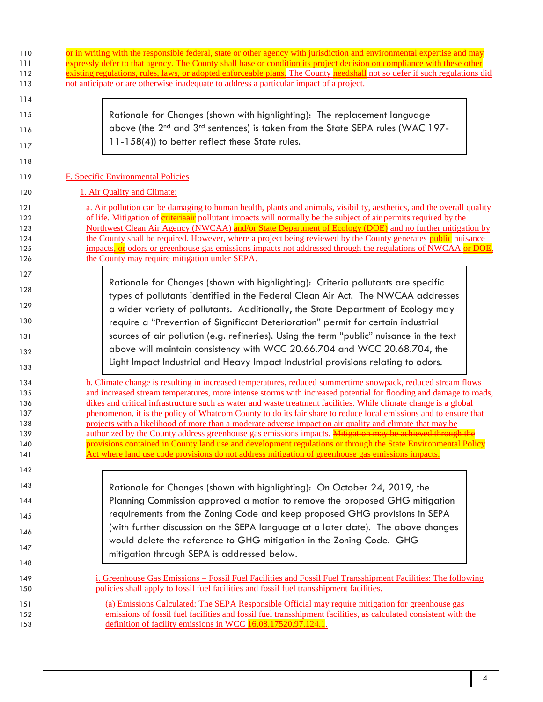| 110<br>111                      | essly defer to that agency. The County shall base or condition its project decision on compliance with thes                                                                                                                                                                                                                                                                                                                                                                                                                                                                                                |
|---------------------------------|------------------------------------------------------------------------------------------------------------------------------------------------------------------------------------------------------------------------------------------------------------------------------------------------------------------------------------------------------------------------------------------------------------------------------------------------------------------------------------------------------------------------------------------------------------------------------------------------------------|
| 112<br>113                      | i <del>sting regulations, rules, laws, or adopted enforceable plans.</del> The County needshall not so defer if such regulations did<br>not anticipate or are otherwise inadequate to address a particular impact of a project.                                                                                                                                                                                                                                                                                                                                                                            |
| 114                             |                                                                                                                                                                                                                                                                                                                                                                                                                                                                                                                                                                                                            |
| 115                             | Rationale for Changes (shown with highlighting): The replacement language                                                                                                                                                                                                                                                                                                                                                                                                                                                                                                                                  |
| 116                             | above (the 2 <sup>nd</sup> and 3 <sup>rd</sup> sentences) is taken from the State SEPA rules (WAC 197-<br>11-158(4)) to better reflect these State rules.                                                                                                                                                                                                                                                                                                                                                                                                                                                  |
| 117<br>118                      |                                                                                                                                                                                                                                                                                                                                                                                                                                                                                                                                                                                                            |
| 119                             | <b>F. Specific Environmental Policies</b>                                                                                                                                                                                                                                                                                                                                                                                                                                                                                                                                                                  |
| 120                             | 1. Air Quality and Climate:                                                                                                                                                                                                                                                                                                                                                                                                                                                                                                                                                                                |
| 121<br>122<br>123<br>124<br>125 | a. Air pollution can be damaging to human health, plants and animals, visibility, aesthetics, and the overall quality<br>of life. Mitigation of <b>eriteriaair</b> pollutant impacts will normally be the subject of air permits required by the<br>Northwest Clean Air Agency (NWCAA) and/or State Department of Ecology (DOE) and no further mitigation by<br>the County shall be required. However, where a project being reviewed by the County generates public nuisance<br>impacts <sub>r</sub> -or odors or greenhouse gas emissions impacts not addressed through the regulations of NWCAA or DOE, |
| 126                             | the County may require mitigation under SEPA.                                                                                                                                                                                                                                                                                                                                                                                                                                                                                                                                                              |
| 127                             | Rationale for Changes (shown with highlighting): Criteria pollutants are specific                                                                                                                                                                                                                                                                                                                                                                                                                                                                                                                          |
| 128                             | types of pollutants identified in the Federal Clean Air Act. The NWCAA addresses                                                                                                                                                                                                                                                                                                                                                                                                                                                                                                                           |
| 129                             | a wider variety of pollutants. Additionally, the State Department of Ecology may                                                                                                                                                                                                                                                                                                                                                                                                                                                                                                                           |
| 130                             | require a "Prevention of Significant Deterioration" permit for certain industrial                                                                                                                                                                                                                                                                                                                                                                                                                                                                                                                          |
| 131                             | sources of air pollution (e.g. refineries). Using the term "public" nuisance in the text                                                                                                                                                                                                                                                                                                                                                                                                                                                                                                                   |
| 132                             | above will maintain consistency with WCC 20.66.704 and WCC 20.68.704, the<br>Light Impact Industrial and Heavy Impact Industrial provisions relating to odors.                                                                                                                                                                                                                                                                                                                                                                                                                                             |
| 133                             |                                                                                                                                                                                                                                                                                                                                                                                                                                                                                                                                                                                                            |
| 134<br>135                      | b. Climate change is resulting in increased temperatures, reduced summertime snowpack, reduced stream flows<br>and increased stream temperatures, more intense storms with increased potential for flooding and damage to roads,                                                                                                                                                                                                                                                                                                                                                                           |
| 136                             | dikes and critical infrastructure such as water and waste treatment facilities. While climate change is a global                                                                                                                                                                                                                                                                                                                                                                                                                                                                                           |
| 137<br>138                      | phenomenon, it is the policy of Whatcom County to do its fair share to reduce local emissions and to ensure that<br>projects with a likelihood of more than a moderate adverse impact on air quality and climate that may be                                                                                                                                                                                                                                                                                                                                                                               |
| 139                             | authorized by the County address greenhouse gas emissions impacts. Mitigation may be achieved through the                                                                                                                                                                                                                                                                                                                                                                                                                                                                                                  |
| 140                             | ovisions contained in County land use and development regulations or through the State Environmental Delion                                                                                                                                                                                                                                                                                                                                                                                                                                                                                                |
| 141                             | <u>st address mitigation of greenl</u>                                                                                                                                                                                                                                                                                                                                                                                                                                                                                                                                                                     |
| 142                             |                                                                                                                                                                                                                                                                                                                                                                                                                                                                                                                                                                                                            |
| 143                             | Rationale for Changes (shown with highlighting): On October 24, 2019, the                                                                                                                                                                                                                                                                                                                                                                                                                                                                                                                                  |
| 144                             | Planning Commission approved a motion to remove the proposed GHG mitigation                                                                                                                                                                                                                                                                                                                                                                                                                                                                                                                                |
| 145                             | requirements from the Zoning Code and keep proposed GHG provisions in SEPA                                                                                                                                                                                                                                                                                                                                                                                                                                                                                                                                 |
| 146                             | (with further discussion on the SEPA language at a later date). The above changes                                                                                                                                                                                                                                                                                                                                                                                                                                                                                                                          |
| 147                             | would delete the reference to GHG mitigation in the Zoning Code. GHG<br>mitigation through SEPA is addressed below.                                                                                                                                                                                                                                                                                                                                                                                                                                                                                        |
| 148                             |                                                                                                                                                                                                                                                                                                                                                                                                                                                                                                                                                                                                            |
| 149<br>150                      | i. Greenhouse Gas Emissions – Fossil Fuel Facilities and Fossil Fuel Transshipment Facilities: The following<br>policies shall apply to fossil fuel facilities and fossil fuel transshipment facilities.                                                                                                                                                                                                                                                                                                                                                                                                   |
| 151                             | (a) Emissions Calculated: The SEPA Responsible Official may require mitigation for greenhouse gas                                                                                                                                                                                                                                                                                                                                                                                                                                                                                                          |
| 152                             | emissions of fossil fuel facilities and fossil fuel transshipment facilities, as calculated consistent with the                                                                                                                                                                                                                                                                                                                                                                                                                                                                                            |
| 153                             | definition of facility emissions in WCC 16.08.17520.97.124.1.                                                                                                                                                                                                                                                                                                                                                                                                                                                                                                                                              |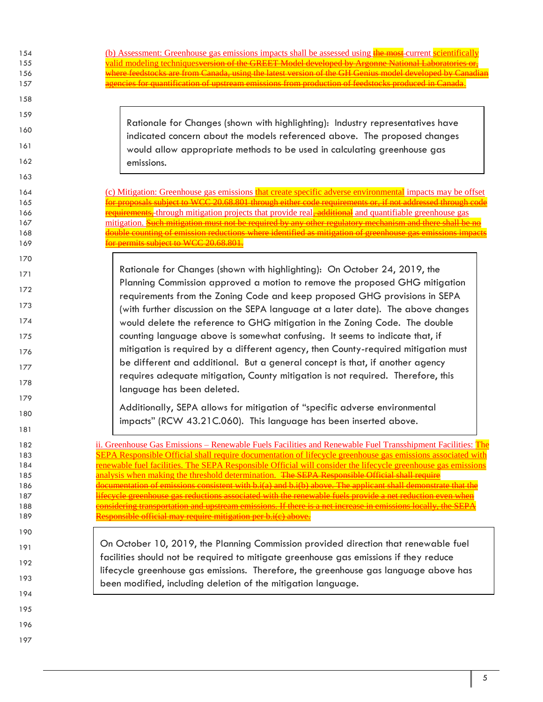| 154<br>155 | (b) Assessment: Greenhouse gas emissions impacts shall be assessed using the most-current scientifically<br>alid modeling techniques version of the GREET Model developed by Argonne National Laboration                      |
|------------|-------------------------------------------------------------------------------------------------------------------------------------------------------------------------------------------------------------------------------|
| 156        | dstocks are from Canada, using the latest version of the GH Genius model developed by Canadian                                                                                                                                |
| 157        | <u>icies for quantification of upstream emissions from production of feedstocks produced in Canada.</u>                                                                                                                       |
| 158        |                                                                                                                                                                                                                               |
| 159        | Rationale for Changes (shown with highlighting): Industry representatives have                                                                                                                                                |
| 160        | indicated concern about the models referenced above. The proposed changes                                                                                                                                                     |
| 161        | would allow appropriate methods to be used in calculating greenhouse gas                                                                                                                                                      |
| 162        | emissions.                                                                                                                                                                                                                    |
| 163        |                                                                                                                                                                                                                               |
| 164        | (c) Mitigation: Greenhouse gas emissions that create specific adverse environmental impacts may be offset<br>ls subject to WCC 20.68.801 through either code requirements or, if not addressed through code                   |
| 165        |                                                                                                                                                                                                                               |
| 166        | equirements, through mitigation projects that provide real, additional and quantifiable greenhouse gas<br>mitigation. <del>Such mitigation must not be required by any other regulatory mechanism and there shall be no</del> |
| 167        |                                                                                                                                                                                                                               |
| 168        | <u>buble counting of emission reductions where identified as mitigation of greenhouse gas emissions impacts</u>                                                                                                               |
| 169        | r permits subject to WCC 20.68.801                                                                                                                                                                                            |
| 170        |                                                                                                                                                                                                                               |
| 171        | Rationale for Changes (shown with highlighting): On October 24, 2019, the<br>Planning Commission approved a motion to remove the proposed GHG mitigation                                                                      |
| 172        | requirements from the Zoning Code and keep proposed GHG provisions in SEPA                                                                                                                                                    |
| 173        | (with further discussion on the SEPA language at a later date). The above changes                                                                                                                                             |
| 174        | would delete the reference to GHG mitigation in the Zoning Code. The double                                                                                                                                                   |
| 175        | counting language above is somewhat confusing. It seems to indicate that, if                                                                                                                                                  |
| 176        | mitigation is required by a different agency, then County-required mitigation must<br>be different and additional. But a general concept is that, if another agency                                                           |
| 177        | requires adequate mitigation, County mitigation is not required. Therefore, this                                                                                                                                              |
| 178        | language has been deleted.                                                                                                                                                                                                    |
| 179        | Additionally, SEPA allows for mitigation of "specific adverse environmental                                                                                                                                                   |
| 180        | impacts" (RCW 43.21C.060). This language has been inserted above.                                                                                                                                                             |
| 181        |                                                                                                                                                                                                                               |
| 182        | ii. Greenhouse Gas Emissions – Renewable Fuels Facilities and Renewable Fuel Transshipment Facilities: The                                                                                                                    |
| 183        | <u>SEPA Responsible Official shall require documentation of lifecycle greenhouse gas emissions associated with</u>                                                                                                            |
| 184        | renewable fuel facilities. The SEPA Responsible Official will consider the lifecycle greenhouse gas emissions                                                                                                                 |
| 185        | analysis when making the threshold determination. The SEPA Responsible Official shall require                                                                                                                                 |
| 186        | documentation of emissions consistent with b.i(a) and b.i(b) above. The applicant shall demonstrate that the                                                                                                                  |
| 187        | ycle greenhouse gas reductions associated with the renewable fuels provide a net reduction                                                                                                                                    |
| 188        | psidering transportation and unstream emissions. If there is a net increase in emission                                                                                                                                       |
| 189        | esponsible official may require mitigation per b.i(c) above.                                                                                                                                                                  |
| 190        |                                                                                                                                                                                                                               |
| 191        | On October 10, 2019, the Planning Commission provided direction that renewable fuel                                                                                                                                           |
| 192        | facilities should not be required to mitigate greenhouse gas emissions if they reduce<br>lifecycle greenhouse gas emissions. Therefore, the greenhouse gas language above has                                                 |
| 193        | been modified, including deletion of the mitigation language.                                                                                                                                                                 |
| 194        |                                                                                                                                                                                                                               |
| 195        |                                                                                                                                                                                                                               |
| 196        |                                                                                                                                                                                                                               |
| 197        |                                                                                                                                                                                                                               |

 $\mathbb I$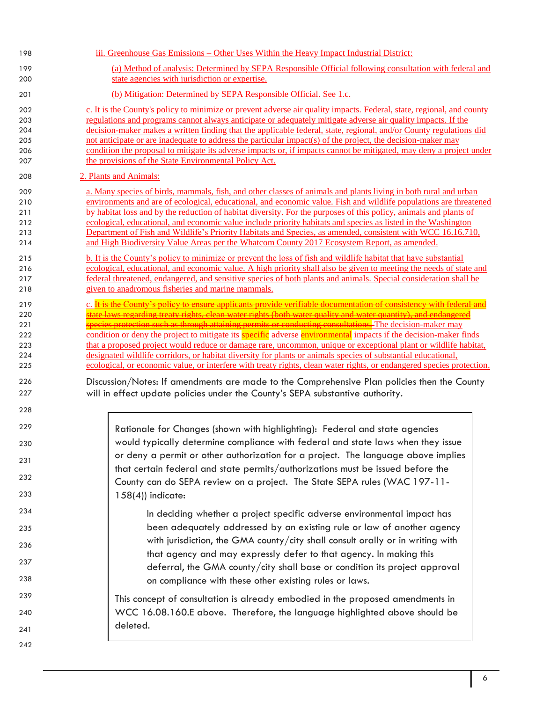| 198        | iii. Greenhouse Gas Emissions – Other Uses Within the Heavy Impact Industrial District:                                                                                                                                             |
|------------|-------------------------------------------------------------------------------------------------------------------------------------------------------------------------------------------------------------------------------------|
| 199        | (a) Method of analysis: Determined by SEPA Responsible Official following consultation with federal and                                                                                                                             |
| 200        | state agencies with jurisdiction or expertise.                                                                                                                                                                                      |
| 201        | (b) Mitigation: Determined by SEPA Responsible Official. See 1.c.                                                                                                                                                                   |
| 202        | c. It is the County's policy to minimize or prevent adverse air quality impacts. Federal, state, regional, and county                                                                                                               |
| 203        | regulations and programs cannot always anticipate or adequately mitigate adverse air quality impacts. If the                                                                                                                        |
| 204        | decision-maker makes a written finding that the applicable federal, state, regional, and/or County regulations did                                                                                                                  |
| 205        | not anticipate or are inadequate to address the particular impact(s) of the project, the decision-maker may                                                                                                                         |
| 206        | condition the proposal to mitigate its adverse impacts or, if impacts cannot be mitigated, may deny a project under                                                                                                                 |
| 207        | the provisions of the State Environmental Policy Act.                                                                                                                                                                               |
| 208        | 2. Plants and Animals:                                                                                                                                                                                                              |
| 209        | a. Many species of birds, mammals, fish, and other classes of animals and plants living in both rural and urban                                                                                                                     |
| 210        | environments and are of ecological, educational, and economic value. Fish and wildlife populations are threatened                                                                                                                   |
| 211        | by habitat loss and by the reduction of habitat diversity. For the purposes of this policy, animals and plants of                                                                                                                   |
| 212        | ecological, educational, and economic value include priority habitats and species as listed in the Washington                                                                                                                       |
| 213        | Department of Fish and Wildlife's Priority Habitats and Species, as amended, consistent with WCC 16.16.710,                                                                                                                         |
| 214        | and High Biodiversity Value Areas per the Whatcom County 2017 Ecosystem Report, as amended.                                                                                                                                         |
| 215        | b. It is the County's policy to minimize or prevent the loss of fish and wildlife habitat that have substantial                                                                                                                     |
| 216        | ecological, educational, and economic value. A high priority shall also be given to meeting the needs of state and                                                                                                                  |
| 217        | federal threatened, endangered, and sensitive species of both plants and animals. Special consideration shall be                                                                                                                    |
| 218        | given to anadromous fisheries and marine mammals.                                                                                                                                                                                   |
|            | c. It is the County's policy to ensure applicants provide verifiable documentation of consistency with federal and                                                                                                                  |
| 219        | state laws regarding treaty rights, clean water rights (both water quality and water quantity), and endangered                                                                                                                      |
| 220        | <del>species protection such as through attaining permits or conducting consultations. T</del> he decision-maker may                                                                                                                |
| 221        |                                                                                                                                                                                                                                     |
| 222<br>223 | condition or deny the project to mitigate its specific adverse environmental impacts if the decision-maker finds<br>that a proposed project would reduce or damage rare, uncommon, unique or exceptional plant or wildlife habitat, |
| 224        | designated wildlife corridors, or habitat diversity for plants or animals species of substantial educational,                                                                                                                       |
| 225        | ecological, or economic value, or interfere with treaty rights, clean water rights, or endangered species protection.                                                                                                               |
|            |                                                                                                                                                                                                                                     |
| 226        | Discussion/Notes: If amendments are made to the Comprehensive Plan policies then the County                                                                                                                                         |
| 227        | will in effect update policies under the County's SEPA substantive authority.                                                                                                                                                       |
| 228        |                                                                                                                                                                                                                                     |
| 229        | Rationale for Changes (shown with highlighting): Federal and state agencies                                                                                                                                                         |
| 230        | would typically determine compliance with federal and state laws when they issue                                                                                                                                                    |
| 231        | or deny a permit or other authorization for a project. The language above implies                                                                                                                                                   |
| 232        | that certain federal and state permits/authorizations must be issued before the<br>County can do SEPA review on a project. The State SEPA rules (WAC 197-11-                                                                        |
| 233        | $158(4)$ ) indicate:                                                                                                                                                                                                                |
| 234        | In deciding whether a project specific adverse environmental impact has                                                                                                                                                             |
| 235        | been adequately addressed by an existing rule or law of another agency                                                                                                                                                              |
| 236        | with jurisdiction, the GMA county/city shall consult orally or in writing with                                                                                                                                                      |
| 237        | that agency and may expressly defer to that agency. In making this                                                                                                                                                                  |
| 238        | deferral, the GMA county/city shall base or condition its project approval                                                                                                                                                          |
|            | on compliance with these other existing rules or laws.                                                                                                                                                                              |
| 239        | This concept of consultation is already embodied in the proposed amendments in                                                                                                                                                      |
| 240        | WCC 16.08.160.E above. Therefore, the language highlighted above should be<br>deleted.                                                                                                                                              |
| 241<br>242 |                                                                                                                                                                                                                                     |
|            |                                                                                                                                                                                                                                     |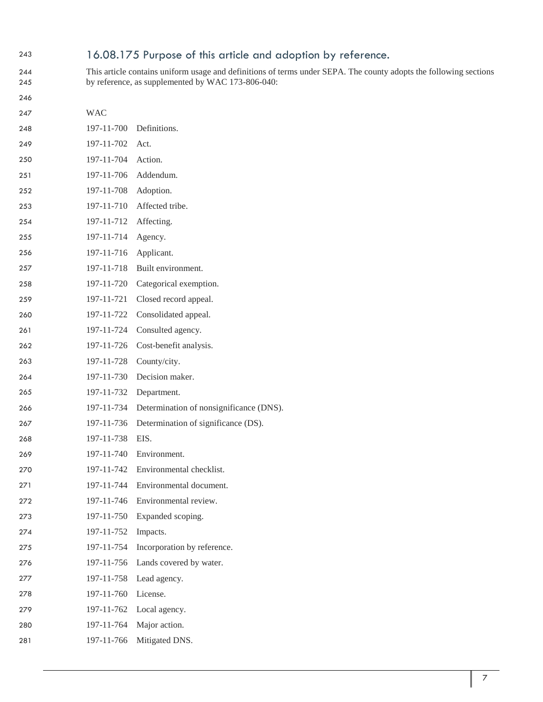# 16.08.175 Purpose of this article and adoption by reference.

 This article contains uniform usage and definitions of terms under SEPA. The county adopts the following sections by reference, as supplemented by WAC 173-806-040:

 WAC 197-11-700 Definitions. 249 197-11-702 Act. 197-11-704 Action. 197-11-706 Addendum. 197-11-708 Adoption. 197-11-710 Affected tribe. 197-11-712 Affecting. 197-11-714 Agency. 197-11-716 Applicant. 197-11-718 Built environment. 197-11-720 Categorical exemption. 197-11-721 Closed record appeal. 197-11-722 Consolidated appeal. 197-11-724 Consulted agency. 197-11-726 Cost-benefit analysis. 197-11-728 County/city. 197-11-730 Decision maker. 197-11-732 Department. 197-11-734 Determination of nonsignificance (DNS). 197-11-736 Determination of significance (DS). 197-11-738 EIS. 197-11-740 Environment. 197-11-742 Environmental checklist. 197-11-744 Environmental document. 272 197-11-746 Environmental review. 197-11-750 Expanded scoping. 197-11-752 Impacts. 197-11-754 Incorporation by reference. 197-11-756 Lands covered by water. 197-11-758 Lead agency. 197-11-760 License. 197-11-762 Local agency. 197-11-764 Major action. 197-11-766 Mitigated DNS.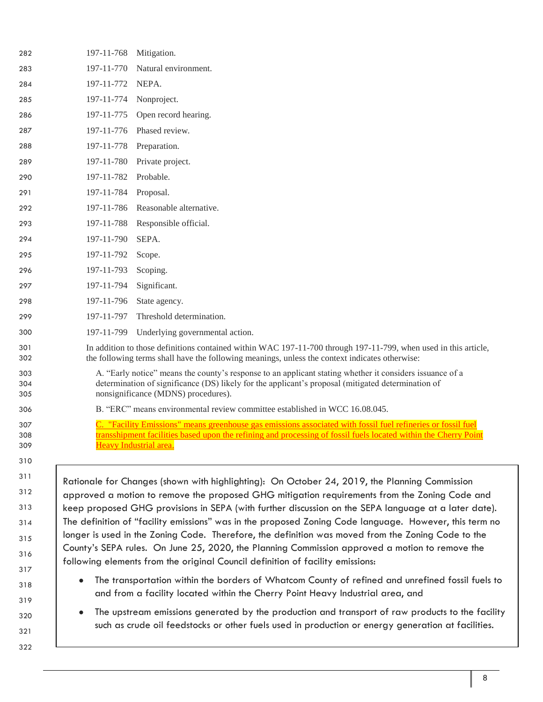| 282               | 197-11-768<br>Mitigation.                                                                                                                                                                                                                              |
|-------------------|--------------------------------------------------------------------------------------------------------------------------------------------------------------------------------------------------------------------------------------------------------|
| 283               | 197-11-770<br>Natural environment.                                                                                                                                                                                                                     |
| 284               | 197-11-772<br>NEPA.                                                                                                                                                                                                                                    |
| 285               | 197-11-774<br>Nonproject.                                                                                                                                                                                                                              |
| 286               | 197-11-775<br>Open record hearing.                                                                                                                                                                                                                     |
| 287               | 197-11-776<br>Phased review.                                                                                                                                                                                                                           |
| 288               | 197-11-778<br>Preparation.                                                                                                                                                                                                                             |
| 289               | 197-11-780<br>Private project.                                                                                                                                                                                                                         |
| 290               | 197-11-782<br>Probable.                                                                                                                                                                                                                                |
| 291               | 197-11-784<br>Proposal.                                                                                                                                                                                                                                |
| 292               | 197-11-786<br>Reasonable alternative.                                                                                                                                                                                                                  |
| 293               | 197-11-788<br>Responsible official.                                                                                                                                                                                                                    |
| 294               | 197-11-790<br>SEPA.                                                                                                                                                                                                                                    |
| 295               | 197-11-792<br>Scope.                                                                                                                                                                                                                                   |
| 296               | 197-11-793<br>Scoping.                                                                                                                                                                                                                                 |
| 297               | 197-11-794<br>Significant.                                                                                                                                                                                                                             |
| 298               | 197-11-796<br>State agency.                                                                                                                                                                                                                            |
| 299               | 197-11-797<br>Threshold determination.                                                                                                                                                                                                                 |
| 300               | 197-11-799<br>Underlying governmental action.                                                                                                                                                                                                          |
| 301<br>302        | In addition to those definitions contained within WAC 197-11-700 through 197-11-799, when used in this article,<br>the following terms shall have the following meanings, unless the context indicates otherwise:                                      |
| 303<br>304<br>305 | A. "Early notice" means the county's response to an applicant stating whether it considers issuance of a<br>determination of significance (DS) likely for the applicant's proposal (mitigated determination of<br>nonsignificance (MDNS) procedures).  |
| 306               | B. "ERC" means environmental review committee established in WCC 16.08.045.                                                                                                                                                                            |
| 307<br>308<br>309 | "Facility Emissions" means greenhouse gas emissions associated with fossil fuel refineries or fossil fuel<br>transshipment facilities based upon the refining and processing of fossil fuels located within the Cherry Point<br>Heavy Industrial area. |
| 310               |                                                                                                                                                                                                                                                        |
| 311               | Rationale for Changes (shown with highlighting): On October 24, 2019, the Planning Commission                                                                                                                                                          |
| 312               | approved a motion to remove the proposed GHG mitigation requirements from the Zoning Code and                                                                                                                                                          |
| 313               | keep proposed GHG provisions in SEPA (with further discussion on the SEPA language at a later date).<br>The definition of "facility emissions" was in the proposed Zoning Code language. However, this term no                                         |
| 314               | longer is used in the Zoning Code. Therefore, the definition was moved from the Zoning Code to the                                                                                                                                                     |
| 315               | County's SEPA rules. On June 25, 2020, the Planning Commission approved a motion to remove the                                                                                                                                                         |
| 316               | following elements from the original Council definition of facility emissions:                                                                                                                                                                         |
| 317               | The transportation within the borders of Whatcom County of refined and unrefined fossil fuels to                                                                                                                                                       |
| 318               | and from a facility located within the Cherry Point Heavy Industrial area, and                                                                                                                                                                         |
| 319               | The upstream emissions generated by the production and transport of raw products to the facility                                                                                                                                                       |
| 320               | such as crude oil feedstocks or other fuels used in production or energy generation at facilities.                                                                                                                                                     |
| 321<br>322        |                                                                                                                                                                                                                                                        |
|                   |                                                                                                                                                                                                                                                        |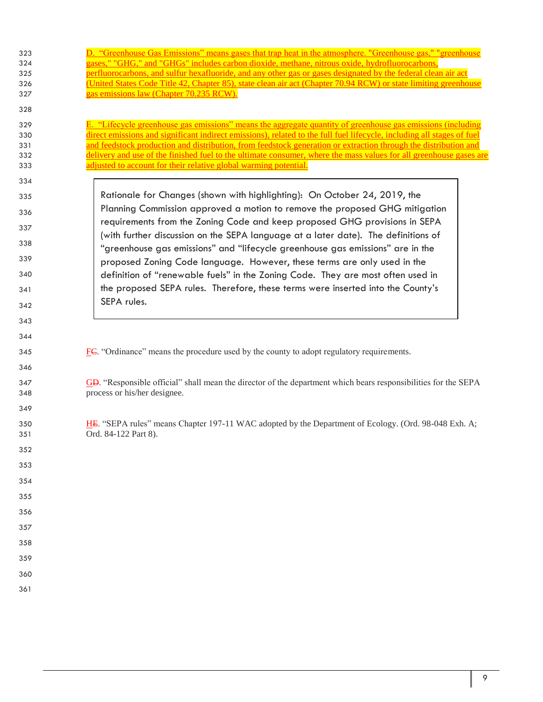| 323<br>324<br>325<br>326<br>327<br>328<br>329 | D. "Greenhouse Gas Emissions" means gases that trap heat in the atmosphere. "Greenhouse gas," "greenhouse"<br>gases," "GHG," and "GHGs" includes carbon dioxide, methane, nitrous oxide, hydrofluorocarbons<br>perfluorocarbons, and sulfur hexafluoride, and any other gas or gases designated by the federal clean air act<br>(United States Code Title 42, Chapter 85), state clean air act (Chapter 70.94 RCW) or state limiting greenhouse<br>gas emissions law (Chapter 70.235 RCW).<br>E. "Lifecycle greenhouse gas emissions" means the aggregate quantity of greenhouse gas emissions (including |
|-----------------------------------------------|-----------------------------------------------------------------------------------------------------------------------------------------------------------------------------------------------------------------------------------------------------------------------------------------------------------------------------------------------------------------------------------------------------------------------------------------------------------------------------------------------------------------------------------------------------------------------------------------------------------|
| 330                                           | direct emissions and significant indirect emissions), related to the full fuel lifecycle, including all stages of fuel                                                                                                                                                                                                                                                                                                                                                                                                                                                                                    |
| 331<br>332                                    | and feedstock production and distribution, from feedstock generation or extraction through the distribution and<br>delivery and use of the finished fuel to the ultimate consumer, where the mass values for all greenhouse gases are                                                                                                                                                                                                                                                                                                                                                                     |
| 333                                           | adjusted to account for their relative global warming potential.                                                                                                                                                                                                                                                                                                                                                                                                                                                                                                                                          |
| 334                                           |                                                                                                                                                                                                                                                                                                                                                                                                                                                                                                                                                                                                           |
| 335                                           | Rationale for Changes (shown with highlighting): On October 24, 2019, the                                                                                                                                                                                                                                                                                                                                                                                                                                                                                                                                 |
| 336                                           | Planning Commission approved a motion to remove the proposed GHG mitigation                                                                                                                                                                                                                                                                                                                                                                                                                                                                                                                               |
| 337                                           | requirements from the Zoning Code and keep proposed GHG provisions in SEPA<br>(with further discussion on the SEPA language at a later date). The definitions of                                                                                                                                                                                                                                                                                                                                                                                                                                          |
| 338                                           | "greenhouse gas emissions" and "lifecycle greenhouse gas emissions" are in the                                                                                                                                                                                                                                                                                                                                                                                                                                                                                                                            |
| 339                                           | proposed Zoning Code language. However, these terms are only used in the                                                                                                                                                                                                                                                                                                                                                                                                                                                                                                                                  |
| 340                                           | definition of "renewable fuels" in the Zoning Code. They are most often used in                                                                                                                                                                                                                                                                                                                                                                                                                                                                                                                           |
| 341                                           | the proposed SEPA rules. Therefore, these terms were inserted into the County's<br>SEPA rules.                                                                                                                                                                                                                                                                                                                                                                                                                                                                                                            |
| 342                                           |                                                                                                                                                                                                                                                                                                                                                                                                                                                                                                                                                                                                           |
| 343                                           |                                                                                                                                                                                                                                                                                                                                                                                                                                                                                                                                                                                                           |
| 344                                           |                                                                                                                                                                                                                                                                                                                                                                                                                                                                                                                                                                                                           |
| 345                                           | $E\ll$ "Ordinance" means the procedure used by the county to adopt regulatory requirements.                                                                                                                                                                                                                                                                                                                                                                                                                                                                                                               |
| 346                                           |                                                                                                                                                                                                                                                                                                                                                                                                                                                                                                                                                                                                           |
| 347<br>348                                    | GD. "Responsible official" shall mean the director of the department which bears responsibilities for the SEPA<br>process or his/her designee.                                                                                                                                                                                                                                                                                                                                                                                                                                                            |
| 349                                           |                                                                                                                                                                                                                                                                                                                                                                                                                                                                                                                                                                                                           |
| 350<br>351                                    | HE. "SEPA rules" means Chapter 197-11 WAC adopted by the Department of Ecology. (Ord. 98-048 Exh. A;<br>Ord. 84-122 Part 8).                                                                                                                                                                                                                                                                                                                                                                                                                                                                              |
| 352                                           |                                                                                                                                                                                                                                                                                                                                                                                                                                                                                                                                                                                                           |
| 353                                           |                                                                                                                                                                                                                                                                                                                                                                                                                                                                                                                                                                                                           |
| 354                                           |                                                                                                                                                                                                                                                                                                                                                                                                                                                                                                                                                                                                           |
| 355                                           |                                                                                                                                                                                                                                                                                                                                                                                                                                                                                                                                                                                                           |
| 356                                           |                                                                                                                                                                                                                                                                                                                                                                                                                                                                                                                                                                                                           |
| 357                                           |                                                                                                                                                                                                                                                                                                                                                                                                                                                                                                                                                                                                           |
| 358                                           |                                                                                                                                                                                                                                                                                                                                                                                                                                                                                                                                                                                                           |
| 359                                           |                                                                                                                                                                                                                                                                                                                                                                                                                                                                                                                                                                                                           |
| 360                                           |                                                                                                                                                                                                                                                                                                                                                                                                                                                                                                                                                                                                           |
| 361                                           |                                                                                                                                                                                                                                                                                                                                                                                                                                                                                                                                                                                                           |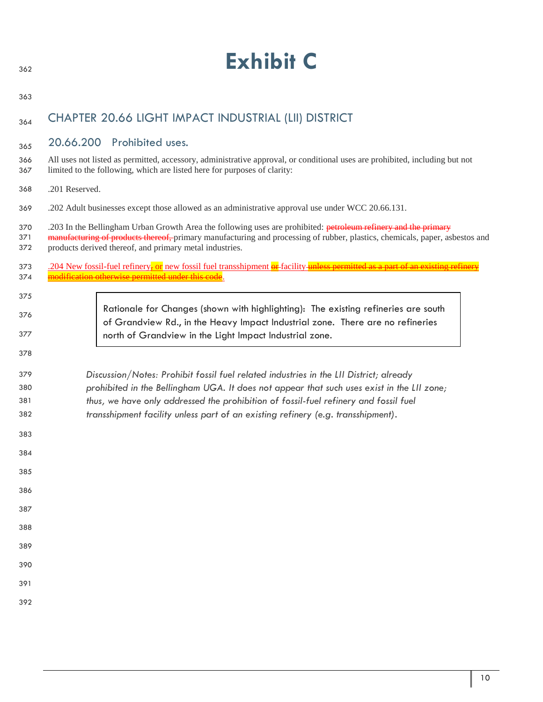| 362               |                                                                                                                                                                                                         | <b>Exhibit C</b>                                                                                                                                                                                                                                                                                         |  |
|-------------------|---------------------------------------------------------------------------------------------------------------------------------------------------------------------------------------------------------|----------------------------------------------------------------------------------------------------------------------------------------------------------------------------------------------------------------------------------------------------------------------------------------------------------|--|
| 363               |                                                                                                                                                                                                         |                                                                                                                                                                                                                                                                                                          |  |
| 364               |                                                                                                                                                                                                         | CHAPTER 20.66 LIGHT IMPACT INDUSTRIAL (LII) DISTRICT                                                                                                                                                                                                                                                     |  |
| 365               | 20.66.200                                                                                                                                                                                               | Prohibited uses.                                                                                                                                                                                                                                                                                         |  |
| 366<br>367        | All uses not listed as permitted, accessory, administrative approval, or conditional uses are prohibited, including but not<br>limited to the following, which are listed here for purposes of clarity: |                                                                                                                                                                                                                                                                                                          |  |
| 368               | .201 Reserved.                                                                                                                                                                                          |                                                                                                                                                                                                                                                                                                          |  |
| 369               |                                                                                                                                                                                                         | .202 Adult businesses except those allowed as an administrative approval use under WCC 20.66.131.                                                                                                                                                                                                        |  |
| 370<br>371<br>372 |                                                                                                                                                                                                         | .203 In the Bellingham Urban Growth Area the following uses are prohibited: petroleum refinery and the primary<br>manufacturing of products thereof, primary manufacturing and processing of rubber, plastics, chemicals, paper, asbestos and<br>products derived thereof, and primary metal industries. |  |
| 373               |                                                                                                                                                                                                         | .204 New fossil-fuel refinery <del>,</del> or new fossil fuel transshipment or facility unless permitted as a part of an existing refinery<br>modification otherwise permitted under this code.                                                                                                          |  |
| 374<br>375        |                                                                                                                                                                                                         |                                                                                                                                                                                                                                                                                                          |  |
| 376               |                                                                                                                                                                                                         | Rationale for Changes (shown with highlighting): The existing refineries are south                                                                                                                                                                                                                       |  |
| 377               |                                                                                                                                                                                                         | of Grandview Rd., in the Heavy Impact Industrial zone. There are no refineries<br>north of Grandview in the Light Impact Industrial zone.                                                                                                                                                                |  |
| 378               |                                                                                                                                                                                                         |                                                                                                                                                                                                                                                                                                          |  |
| 379               |                                                                                                                                                                                                         | Discussion/Notes: Prohibit fossil fuel related industries in the LII District; already                                                                                                                                                                                                                   |  |
| 380<br>381        |                                                                                                                                                                                                         | prohibited in the Bellingham UGA. It does not appear that such uses exist in the LII zone;<br>thus, we have only addressed the prohibition of fossil-fuel refinery and fossil fuel                                                                                                                       |  |
| 382               |                                                                                                                                                                                                         | transshipment facility unless part of an existing refinery (e.g. transshipment).                                                                                                                                                                                                                         |  |
| 383               |                                                                                                                                                                                                         |                                                                                                                                                                                                                                                                                                          |  |
| 384               |                                                                                                                                                                                                         |                                                                                                                                                                                                                                                                                                          |  |
| 385               |                                                                                                                                                                                                         |                                                                                                                                                                                                                                                                                                          |  |
| 386               |                                                                                                                                                                                                         |                                                                                                                                                                                                                                                                                                          |  |
| 387               |                                                                                                                                                                                                         |                                                                                                                                                                                                                                                                                                          |  |
| 388               |                                                                                                                                                                                                         |                                                                                                                                                                                                                                                                                                          |  |
| 389               |                                                                                                                                                                                                         |                                                                                                                                                                                                                                                                                                          |  |
| 390               |                                                                                                                                                                                                         |                                                                                                                                                                                                                                                                                                          |  |
| 391               |                                                                                                                                                                                                         |                                                                                                                                                                                                                                                                                                          |  |
| 392               |                                                                                                                                                                                                         |                                                                                                                                                                                                                                                                                                          |  |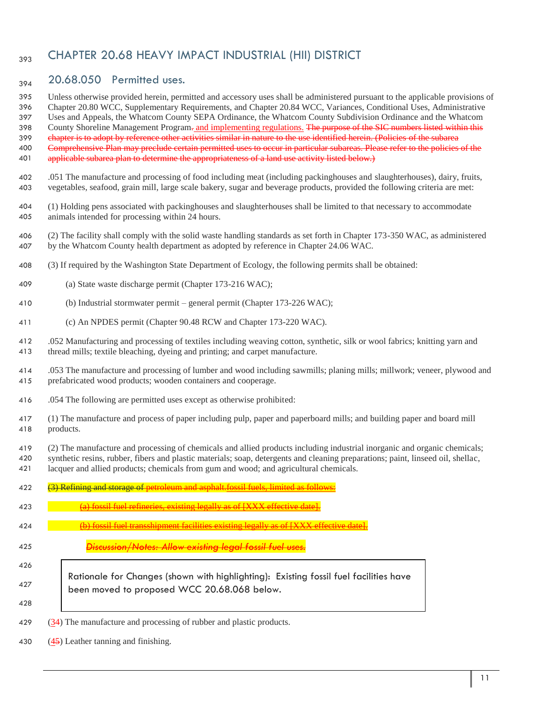# <sub>393</sub> CHAPTER 20.68 HEAVY IMPACT INDUSTRIAL (HII) DISTRICT

# $_{394}$  20.68.050 Permitted uses.

Unless otherwise provided herein, permitted and accessory uses shall be administered pursuant to the applicable provisions of

Chapter 20.80 WCC, Supplementary Requirements, and Chapter 20.84 WCC, Variances, Conditional Uses, Administrative

 Uses and Appeals, the Whatcom County SEPA Ordinance, the Whatcom County Subdivision Ordinance and the Whatcom 398 County Shoreline Management Program- and implementing regulations. The purpose of the SIC numbers listed within this

399 chapter is to adopt by reference other activities similar in nature to the use identified herein. (Policies of the subarea

Comprehensive Plan may preclude certain permitted uses to occur in particular subareas. Please refer to the policies of the

- 401 applicable subarea plan to determine the appropriateness of a land use activity listed below.)
- .051 The manufacture and processing of food including meat (including packinghouses and slaughterhouses), dairy, fruits, vegetables, seafood, grain mill, large scale bakery, sugar and beverage products, provided the following criteria are met:
- (1) Holding pens associated with packinghouses and slaughterhouses shall be limited to that necessary to accommodate animals intended for processing within 24 hours.
- (2) The facility shall comply with the solid waste handling standards as set forth in Chapter 173-350 WAC, as administered by the Whatcom County health department as adopted by reference in Chapter 24.06 WAC.
- (3) If required by the Washington State Department of Ecology, the following permits shall be obtained:
- (a) State waste discharge permit (Chapter 173-216 WAC);
- (b) Industrial stormwater permit general permit (Chapter 173-226 WAC);
- (c) An NPDES permit (Chapter 90.48 RCW and Chapter 173-220 WAC).

 .052 Manufacturing and processing of textiles including weaving cotton, synthetic, silk or wool fabrics; knitting yarn and thread mills; textile bleaching, dyeing and printing; and carpet manufacture.

- .053 The manufacture and processing of lumber and wood including sawmills; planing mills; millwork; veneer, plywood and prefabricated wood products; wooden containers and cooperage.
- .054 The following are permitted uses except as otherwise prohibited:
- (1) The manufacture and process of paper including pulp, paper and paperboard mills; and building paper and board mill products.
- (2) The manufacture and processing of chemicals and allied products including industrial inorganic and organic chemicals;
- synthetic resins, rubber, fibers and plastic materials; soap, detergents and cleaning preparations; paint, linseed oil, shellac, lacquer and allied products; chemicals from gum and wood; and agricultural chemicals.

| 422 | Refining and storage of petroleum and asphalt fossil fuels, limited as follows:                                                      |
|-----|--------------------------------------------------------------------------------------------------------------------------------------|
| 423 | (a) fossil fuel refineries, existing legally as of [XXX effective date]                                                              |
| 424 | <del>.) fossil fuel transshipment facilities existing legally as of [XXX effective c</del>                                           |
| 425 | Discussion/Notes: Allow existing legal fossil fuel                                                                                   |
| 426 |                                                                                                                                      |
| 427 | Rationale for Changes (shown with highlighting): Existing fossil fuel facilities have<br>been moved to proposed WCC 20.68.068 below. |
| 428 |                                                                                                                                      |
| 429 | $(34)$ The manufacture and processing of rubber and plastic products.                                                                |

(45) Leather tanning and finishing.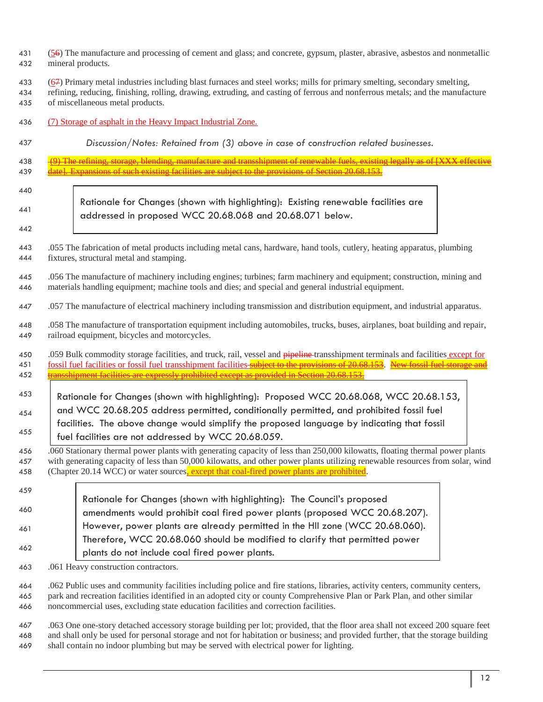- 431 (56) The manufacture and processing of cement and glass; and concrete, gypsum, plaster, abrasive, asbestos and nonmetallic mineral products.
- (67) Primary metal industries including blast furnaces and steel works; mills for primary smelting, secondary smelting,
- refining, reducing, finishing, rolling, drawing, extruding, and casting of ferrous and nonferrous metals; and the manufacture of miscellaneous metal products.
- (7) Storage of asphalt in the Heavy Impact Industrial Zone.
- *Discussion/Notes: Retained from (3) above in case of construction related businesses.*
- 438 (9) The refining, storage, blending, manufacture and transshipment of renewable 439 date]. Expansions of such existing facilities are subject to the provisions of Section 20.68.153.

|  | ٦<br>۰,<br>× |  |
|--|--------------|--|
|  |              |  |

- Rationale for Changes (shown with highlighting): Existing renewable facilities are addressed in proposed WCC 20.68.068 and 20.68.071 below.
- .055 The fabrication of metal products including metal cans, hardware, hand tools, cutlery, heating apparatus, plumbing fixtures, structural metal and stamping.
- .056 The manufacture of machinery including engines; turbines; farm machinery and equipment; construction, mining and materials handling equipment; machine tools and dies; and special and general industrial equipment.
- .057 The manufacture of electrical machinery including transmission and distribution equipment, and industrial apparatus.
- .058 The manufacture of transportation equipment including automobiles, trucks, buses, airplanes, boat building and repair, railroad equipment, bicycles and motorcycles.
- 450 .059 Bulk commodity storage facilities, and truck, rail, vessel and **pipeline** transshipment terminals and facilities except for 451 fossil fuel facilities or fossil fuel transshipment facilities subject to the provisions of 20.68.153. New fossil fuel storage and 452 transshipment facilities are expressly prohibited except as provided in Section
- Rationale for Changes (shown with highlighting): Proposed WCC 20.68.068, WCC 20.68.153, and WCC 20.68.205 address permitted, conditionally permitted, and prohibited fossil fuel facilities. The above change would simplify the proposed language by indicating that fossil fuel facilities are not addressed by WCC 20.68.059.
- .060 Stationary thermal power plants with generating capacity of less than 250,000 kilowatts, floating thermal power plants with generating capacity of less than 50,000 kilowatts, and other power plants utilizing renewable resources from solar, wind 458 (Chapter 20.14 WCC) or water sources, except that coal-fired power plants are prohibited.
- Rationale for Changes (shown with highlighting): The Council's proposed amendments would prohibit coal fired power plants (proposed WCC 20.68.207). However, power plants are already permitted in the HII zone (WCC 20.68.060). Therefore, WCC 20.68.060 should be modified to clarify that permitted power plants do not include coal fired power plants.
- .061 Heavy construction contractors.
- .062 Public uses and community facilities including police and fire stations, libraries, activity centers, community centers, park and recreation facilities identified in an adopted city or county Comprehensive Plan or Park Plan, and other similar noncommercial uses, excluding state education facilities and correction facilities.
- .063 One one-story detached accessory storage building per lot; provided, that the floor area shall not exceed 200 square feet and shall only be used for personal storage and not for habitation or business; and provided further, that the storage building shall contain no indoor plumbing but may be served with electrical power for lighting.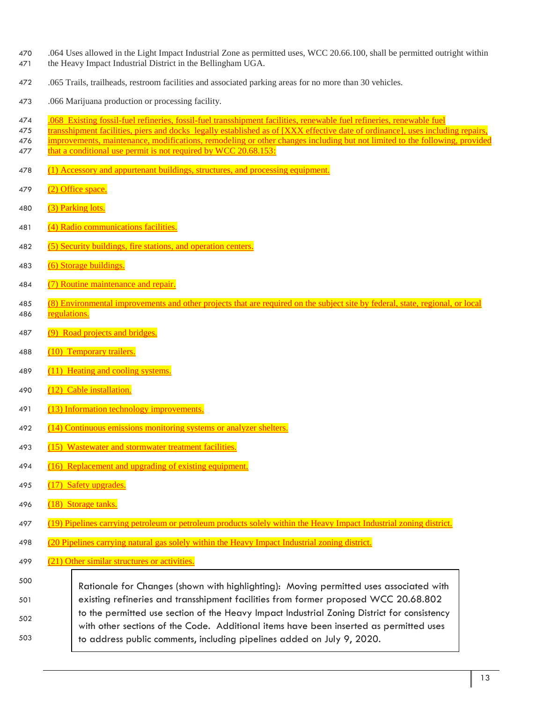- 470 .064 Uses allowed in the Light Impact Industrial Zone as permitted uses, WCC 20.66.100, shall be permitted outright within
- 471 the Heavy Impact Industrial District in the Bellingham UGA.
- 472 .065 Trails, trailheads, restroom facilities and associated parking areas for no more than 30 vehicles.
- 473 .066 Marijuana production or processing facility.
- 474 .068 Existing fossil-fuel refineries, fossil-fuel transshipment facilities, renewable fuel refineries, renewable fuel
- 475 transshipment facilities, piers and docks legally established as of [XXX effective date of ordinance], uses including repairs,
- 476 improvements, maintenance, modifications, remodeling or other changes including but not limited to the following, provided 477 that a conditional use permit is not required by WCC 20.68.153:
- 478 (1) Accessory and appurtenant buildings, structures, and processing equipment.
- 479 (2) Office space.
- 480 (3) Parking lots.
- 481 (4) Radio communications facilities.
- 482 (5) Security buildings, fire stations, and operation centers.
- 483 (6) Storage buildings.
- 484 (7) Routine maintenance and repair.
- 485 (8) Environmental improvements and other projects that are required on the subject site by federal, state, regional, or local 486 regulations.
- 487 (9) Road projects and bridges.
- 488 (10) Temporary trailers.
- 489 (11) Heating and cooling systems.
- 490 (12) Cable installation.
- 491 (13) Information technology improvements.
- 492 (14) Continuous emissions monitoring systems or analyzer shelters.
- 493 (15) Wastewater and stormwater treatment facilities.
- 494 (16) Replacement and upgrading of existing equipment.
- 495 (17) Safety upgrades.
- 496 (18) Storage tanks.
- 497 (19) Pipelines carrying petroleum or petroleum products solely within the Heavy Impact Industrial zoning district.
- 498 (20 Pipelines carrying natural gas solely within the Heavy Impact Industrial zoning district.
- 499 (21) Other similar structures or activities.
- 500 501 502 503 Rationale for Changes (shown with highlighting): Moving permitted uses associated with existing refineries and transshipment facilities from former proposed WCC 20.68.802 to the permitted use section of the Heavy Impact Industrial Zoning District for consistency with other sections of the Code. Additional items have been inserted as permitted uses to address public comments, including pipelines added on July 9, 2020.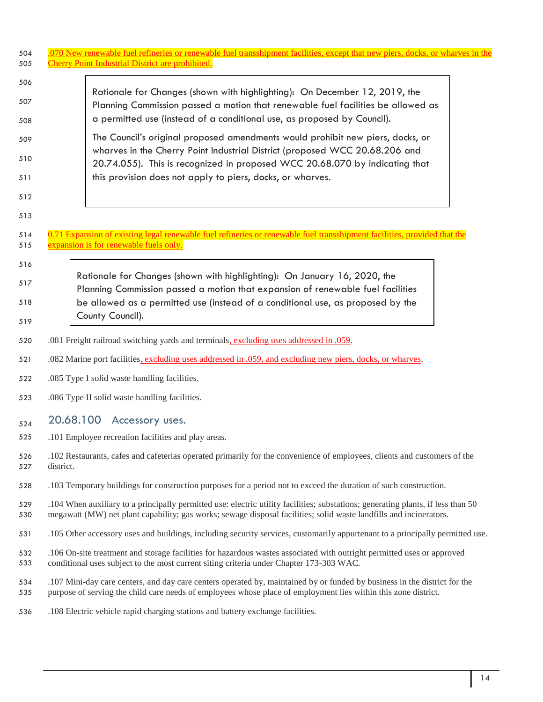| 504<br>505 | .070 New renewable fuel refineries or renewable fuel transshipment facilities, except that new piers, docks, or wharves in the<br><b>Cherry Point Industrial District are prohibited.</b>                                                              |
|------------|--------------------------------------------------------------------------------------------------------------------------------------------------------------------------------------------------------------------------------------------------------|
| 506        |                                                                                                                                                                                                                                                        |
| 507<br>508 | Rationale for Changes (shown with highlighting): On December 12, 2019, the<br>Planning Commission passed a motion that renewable fuel facilities be allowed as<br>a permitted use (instead of a conditional use, as proposed by Council).              |
|            | The Council's original proposed amendments would prohibit new piers, docks, or                                                                                                                                                                         |
| 509        | wharves in the Cherry Point Industrial District (proposed WCC 20.68.206 and                                                                                                                                                                            |
| 510        | 20.74.055). This is recognized in proposed WCC 20.68.070 by indicating that                                                                                                                                                                            |
| 511        | this provision does not apply to piers, docks, or wharves.                                                                                                                                                                                             |
| 512        |                                                                                                                                                                                                                                                        |
| 513        |                                                                                                                                                                                                                                                        |
| 514<br>515 | 0.71 Expansion of existing legal renewable fuel refineries or renewable fuel transshipment facilities, provided that the<br>expansion is for renewable fuels only.                                                                                     |
| 516        |                                                                                                                                                                                                                                                        |
| 517        | Rationale for Changes (shown with highlighting): On January 16, 2020, the                                                                                                                                                                              |
|            | Planning Commission passed a motion that expansion of renewable fuel facilities                                                                                                                                                                        |
| 518        | be allowed as a permitted use (instead of a conditional use, as proposed by the<br>County Council).                                                                                                                                                    |
| 519        |                                                                                                                                                                                                                                                        |
| 520        | .081 Freight railroad switching yards and terminals, excluding uses addressed in .059.                                                                                                                                                                 |
| 521        | .082 Marine port facilities, excluding uses addressed in .059, and excluding new piers, docks, or wharves.                                                                                                                                             |
| 522        | .085 Type I solid waste handling facilities.                                                                                                                                                                                                           |
| 523        | .086 Type II solid waste handling facilities.                                                                                                                                                                                                          |
| 524        | 20.68.100<br>Accessory uses.                                                                                                                                                                                                                           |
| 525        | .101 Employee recreation facilities and play areas.                                                                                                                                                                                                    |
| 526<br>527 | .102 Restaurants, cafes and cafeterias operated primarily for the convenience of employees, clients and customers of the<br>district.                                                                                                                  |
| 528        | .103 Temporary buildings for construction purposes for a period not to exceed the duration of such construction.                                                                                                                                       |
| 529<br>530 | .104 When auxiliary to a principally permitted use: electric utility facilities; substations; generating plants, if less than 50<br>megawatt (MW) net plant capability; gas works; sewage disposal facilities; solid waste landfills and incinerators. |
| 531        | .105 Other accessory uses and buildings, including security services, customarily appurtenant to a principally permitted use.                                                                                                                          |
| 532<br>533 | .106 On-site treatment and storage facilities for hazardous wastes associated with outright permitted uses or approved<br>conditional uses subject to the most current siting criteria under Chapter 173-303 WAC.                                      |
| 534<br>535 | .107 Mini-day care centers, and day care centers operated by, maintained by or funded by business in the district for the<br>purpose of serving the child care needs of employees whose place of employment lies within this zone district.            |
| 536        | .108 Electric vehicle rapid charging stations and battery exchange facilities.                                                                                                                                                                         |

 $\mathsf I$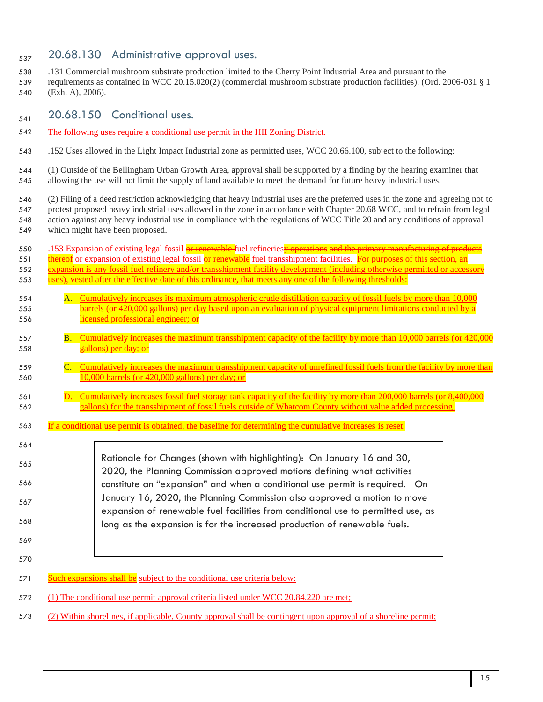# $_{537}$  20.68.130 Administrative approval uses.

- .131 Commercial mushroom substrate production limited to the Cherry Point Industrial Area and pursuant to the
- requirements as contained in WCC 20.15.020(2) (commercial mushroom substrate production facilities). (Ord. 2006-031 § 1 (Exh. A), 2006).
- $_{541}$  20.68.150 Conditional uses.
- The following uses require a conditional use permit in the HII Zoning District.
- .152 Uses allowed in the Light Impact Industrial zone as permitted uses, WCC 20.66.100, subject to the following:
- (1) Outside of the Bellingham Urban Growth Area, approval shall be supported by a finding by the hearing examiner that allowing the use will not limit the supply of land available to meet the demand for future heavy industrial uses.
- (2) Filing of a deed restriction acknowledging that heavy industrial uses are the preferred uses in the zone and agreeing not to protest proposed heavy industrial uses allowed in the zone in accordance with Chapter 20.68 WCC, and to refrain from legal action against any heavy industrial use in compliance with the regulations of WCC Title 20 and any conditions of approval which might have been proposed.
- 550 .153 Expansion of existing legal fossil **or renewable** fuel refineries **y operations and the primary manufacturing of products** 551 thereof or expansion of existing legal fossil or renewable fuel transshipment facilities. For purposes of this section, an 552 expansion is any fossil fuel refinery and/or transshipment facility development (including otherwise permitted or accessory uses), vested after the effective date of this ordinance, that meets any one of the following thresholds: A. Cumulatively increases its maximum atmospheric crude distillation capacity of fossil fuels by more than 10,000 barrels (or 420,000 gallons) per day based upon an evaluation of physical equipment limitations conducted by a licensed professional engineer; or B. Cumulatively increases the maximum transshipment capacity of the facility by more than 10,000 barrels (or 420,000 gallons) per day; or C. Cumulatively increases the maximum transshipment capacity of unrefined fossil fuels from the facility by more than 10,000 barrels (or 420,000 gallons) per day; or D. Cumulatively increases fossil fuel storage tank capacity of the facility by more than 200,000 barrels (or 8,400,000 gallons) for the transshipment of fossil fuels outside of Whatcom County without value added processing. If a conditional use permit is obtained, the baseline for determining the cumulative increases is reset. 571 Such expansions shall be subject to the conditional use criteria below: Rationale for Changes (shown with highlighting): On January 16 and 30, 2020, the Planning Commission approved motions defining what activities constitute an "expansion" and when a conditional use permit is required. On January 16, 2020, the Planning Commission also approved a motion to move expansion of renewable fuel facilities from conditional use to permitted use, as long as the expansion is for the increased production of renewable fuels.
- (1) The conditional use permit approval criteria listed under WCC 20.84.220 are met;
- (2) Within shorelines, if applicable, County approval shall be contingent upon approval of a shoreline permit;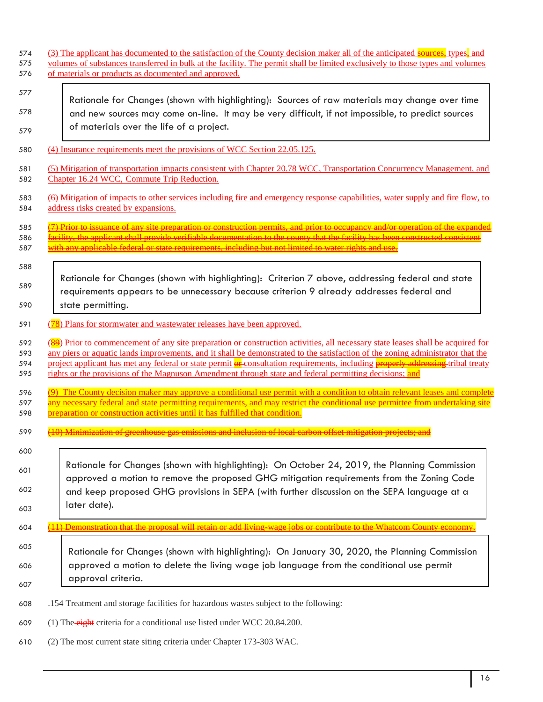| 574 | (3) The applicant has documented to the satisfaction of the County decision maker all of the anticipated sources, types, and    |
|-----|---------------------------------------------------------------------------------------------------------------------------------|
| 575 | volumes of substances transferred in bulk at the facility. The permit shall be limited exclusively to those types and volumes   |
| 576 | of materials or products as documented and approved.                                                                            |
| 577 | Rationale for Changes (shown with highlighting): Sources of raw materials may change over time                                  |
| 578 | and new sources may come on-line. It may be very difficult, if not impossible, to predict sources                               |
| 579 | of materials over the life of a project.                                                                                        |
| 580 | (4) Insurance requirements meet the provisions of WCC Section 22.05.125.                                                        |
| 581 | (5) Mitigation of transportation impacts consistent with Chapter 20.78 WCC, Transportation Concurrency Management, and          |
| 582 | Chapter 16.24 WCC, Commute Trip Reduction.                                                                                      |
| 583 | (6) Mitigation of impacts to other services including fire and emergency response capabilities, water supply and fire flow, to  |
| 584 | address risks created by expansions.                                                                                            |
| 585 | (7) Prior to issuance of any site preparation or construction permits, and prior to occupancy and/or operation of the expanded  |
| 586 | facility, the applicant shall provide verifiable documentation to the county that the facility has been constructed consister   |
| 587 | with any applicable federal or state requirements, including but not limited to water rights and use.                           |
| 588 | Rationale for Changes (shown with highlighting): Criterion 7 above, addressing federal and state                                |
| 589 | requirements appears to be unnecessary because criterion 9 already addresses federal and                                        |
| 590 | state permitting.                                                                                                               |
| 591 | (78) Plans for stormwater and wastewater releases have been approved.                                                           |
| 592 | (89) Prior to commencement of any site preparation or construction activities, all necessary state leases shall be acquired for |
| 593 | any piers or aquatic lands improvements, and it shall be demonstrated to the satisfaction of the zoning administrator that the  |
| 594 | project applicant has met any federal or state permit or consultation requirements, including properly addressing tribal treaty |
| 595 | rights or the provisions of the Magnuson Amendment through state and federal permitting decisions; and                          |
| 596 | (9) The County decision maker may approve a conditional use permit with a condition to obtain relevant leases and complete      |
| 597 | any necessary federal and state permitting requirements, and may restrict the conditional use permittee from undertaking site   |
| 598 | <u>preparation or construction activities until it has fulfilled that condition.</u>                                            |
| 599 |                                                                                                                                 |
| 600 | Rationale for Changes (shown with highlighting): On October 24, 2019, the Planning Commission                                   |
| 601 | approved a motion to remove the proposed GHG mitigation requirements from the Zoning Code                                       |
| 602 | and keep proposed GHG provisions in SEPA (with further discussion on the SEPA language at a                                     |
| 603 | later date).                                                                                                                    |
| 604 |                                                                                                                                 |
| 605 | Rationale for Changes (shown with highlighting): On January 30, 2020, the Planning Commission                                   |
| 606 | approved a motion to delete the living wage job language from the conditional use permit                                        |
| 607 | approval criteria.                                                                                                              |
| 608 | .154 Treatment and storage facilities for hazardous wastes subject to the following:                                            |
| 609 | (1) The eight criteria for a conditional use listed under WCC 20.84.200.                                                        |
| 610 | (2) The most current state siting criteria under Chapter 173-303 WAC.                                                           |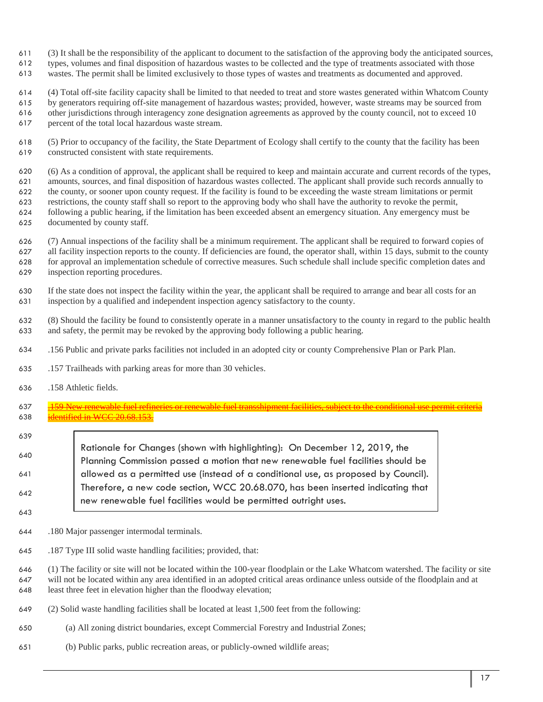- (3) It shall be the responsibility of the applicant to document to the satisfaction of the approving body the anticipated sources,
- types, volumes and final disposition of hazardous wastes to be collected and the type of treatments associated with those
- wastes. The permit shall be limited exclusively to those types of wastes and treatments as documented and approved.

(4) Total off-site facility capacity shall be limited to that needed to treat and store wastes generated within Whatcom County

by generators requiring off-site management of hazardous wastes; provided, however, waste streams may be sourced from

other jurisdictions through interagency zone designation agreements as approved by the county council, not to exceed 10

- percent of the total local hazardous waste stream.
- (5) Prior to occupancy of the facility, the State Department of Ecology shall certify to the county that the facility has been constructed consistent with state requirements.

 (6) As a condition of approval, the applicant shall be required to keep and maintain accurate and current records of the types, amounts, sources, and final disposition of hazardous wastes collected. The applicant shall provide such records annually to the county, or sooner upon county request. If the facility is found to be exceeding the waste stream limitations or permit restrictions, the county staff shall so report to the approving body who shall have the authority to revoke the permit, following a public hearing, if the limitation has been exceeded absent an emergency situation. Any emergency must be

documented by county staff.

 (7) Annual inspections of the facility shall be a minimum requirement. The applicant shall be required to forward copies of all facility inspection reports to the county. If deficiencies are found, the operator shall, within 15 days, submit to the county for approval an implementation schedule of corrective measures. Such schedule shall include specific completion dates and inspection reporting procedures.

 If the state does not inspect the facility within the year, the applicant shall be required to arrange and bear all costs for an inspection by a qualified and independent inspection agency satisfactory to the county.

 (8) Should the facility be found to consistently operate in a manner unsatisfactory to the county in regard to the public health and safety, the permit may be revoked by the approving body following a public hearing.

- .156 Public and private parks facilities not included in an adopted city or county Comprehensive Plan or Park Plan.
- .157 Trailheads with parking areas for more than 30 vehicles.
- .158 Athletic fields.
- 637 .159 New renewable fuel refineries or renewable fuel transshipment facilities, subject to the conditional use permit criteria identified in WCC 20.68.153.
- Rationale for Changes (shown with highlighting): On December 12, 2019, the Planning Commission passed a motion that new renewable fuel facilities should be allowed as a permitted use (instead of a conditional use, as proposed by Council). Therefore, a new code section, WCC 20.68.070, has been inserted indicating that new renewable fuel facilities would be permitted outright uses.
- 

.180 Major passenger intermodal terminals.

.187 Type III solid waste handling facilities; provided, that:

 (1) The facility or site will not be located within the 100-year floodplain or the Lake Whatcom watershed. The facility or site will not be located within any area identified in an adopted critical areas ordinance unless outside of the floodplain and at least three feet in elevation higher than the floodway elevation;

- (2) Solid waste handling facilities shall be located at least 1,500 feet from the following:
- (a) All zoning district boundaries, except Commercial Forestry and Industrial Zones;
- (b) Public parks, public recreation areas, or publicly-owned wildlife areas;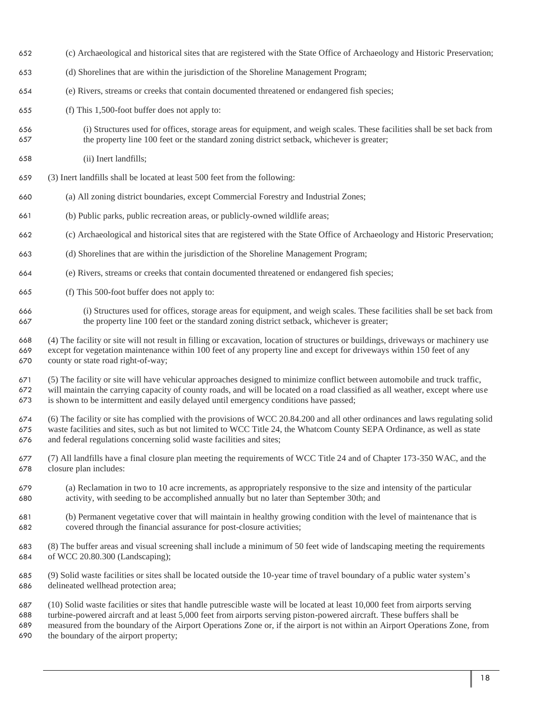- (c) Archaeological and historical sites that are registered with the State Office of Archaeology and Historic Preservation;
- (d) Shorelines that are within the jurisdiction of the Shoreline Management Program;
- (e) Rivers, streams or creeks that contain documented threatened or endangered fish species;
- (f) This 1,500-foot buffer does not apply to:
- (i) Structures used for offices, storage areas for equipment, and weigh scales. These facilities shall be set back from the property line 100 feet or the standard zoning district setback, whichever is greater;
- (ii) Inert landfills;
- (3) Inert landfills shall be located at least 500 feet from the following:
- (a) All zoning district boundaries, except Commercial Forestry and Industrial Zones;
- (b) Public parks, public recreation areas, or publicly-owned wildlife areas;
- (c) Archaeological and historical sites that are registered with the State Office of Archaeology and Historic Preservation;
- (d) Shorelines that are within the jurisdiction of the Shoreline Management Program;
- (e) Rivers, streams or creeks that contain documented threatened or endangered fish species;
- (f) This 500-foot buffer does not apply to:
- (i) Structures used for offices, storage areas for equipment, and weigh scales. These facilities shall be set back from the property line 100 feet or the standard zoning district setback, whichever is greater;

 (4) The facility or site will not result in filling or excavation, location of structures or buildings, driveways or machinery use except for vegetation maintenance within 100 feet of any property line and except for driveways within 150 feet of any county or state road right-of-way;

 (5) The facility or site will have vehicular approaches designed to minimize conflict between automobile and truck traffic, will maintain the carrying capacity of county roads, and will be located on a road classified as all weather, except where use is shown to be intermittent and easily delayed until emergency conditions have passed;

 (6) The facility or site has complied with the provisions of WCC 20.84.200 and all other ordinances and laws regulating solid waste facilities and sites, such as but not limited to WCC Title 24, the Whatcom County SEPA Ordinance, as well as state and federal regulations concerning solid waste facilities and sites;

- (7) All landfills have a final closure plan meeting the requirements of WCC Title 24 and of Chapter 173-350 WAC, and the closure plan includes:
- (a) Reclamation in two to 10 acre increments, as appropriately responsive to the size and intensity of the particular activity, with seeding to be accomplished annually but no later than September 30th; and
- (b) Permanent vegetative cover that will maintain in healthy growing condition with the level of maintenance that is covered through the financial assurance for post-closure activities;
- (8) The buffer areas and visual screening shall include a minimum of 50 feet wide of landscaping meeting the requirements of WCC 20.80.300 (Landscaping);
- (9) Solid waste facilities or sites shall be located outside the 10-year time of travel boundary of a public water system's delineated wellhead protection area;
- (10) Solid waste facilities or sites that handle putrescible waste will be located at least 10,000 feet from airports serving turbine-powered aircraft and at least 5,000 feet from airports serving piston-powered aircraft. These buffers shall be measured from the boundary of the Airport Operations Zone or, if the airport is not within an Airport Operations Zone, from the boundary of the airport property;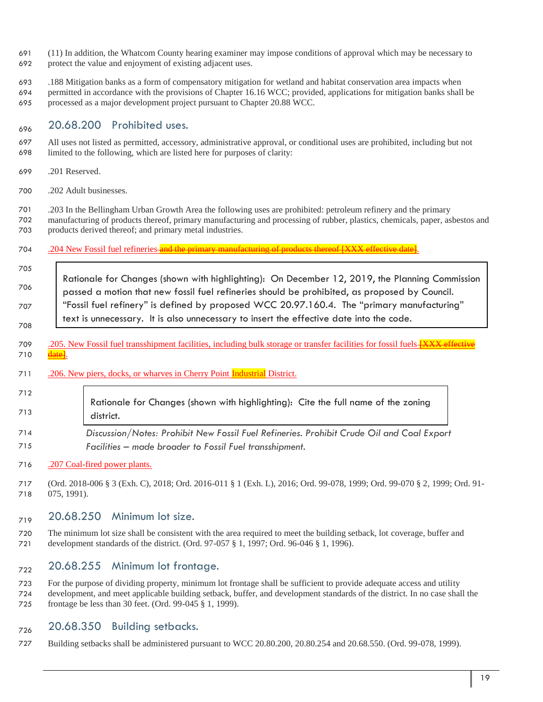- (11) In addition, the Whatcom County hearing examiner may impose conditions of approval which may be necessary to
- protect the value and enjoyment of existing adjacent uses.
- .188 Mitigation banks as a form of compensatory mitigation for wetland and habitat conservation area impacts when
- permitted in accordance with the provisions of Chapter 16.16 WCC; provided, applications for mitigation banks shall be
- processed as a major development project pursuant to Chapter 20.88 WCC.

# $20.68.200$  Prohibited uses.

- All uses not listed as permitted, accessory, administrative approval, or conditional uses are prohibited, including but not limited to the following, which are listed here for purposes of clarity:
- .201 Reserved.
- .202 Adult businesses.

 .203 In the Bellingham Urban Growth Area the following uses are prohibited: petroleum refinery and the primary manufacturing of products thereof, primary manufacturing and processing of rubber, plastics, chemicals, paper, asbestos and products derived thereof; and primary metal industries.

### 704 .204 New Fossil fuel refineries and the primary manufacturing of products thereof [XXX effective date]

- Rationale for Changes (shown with highlighting): On December 12, 2019, the Planning Commission passed a motion that new fossil fuel refineries should be prohibited, as proposed by Council. "Fossil fuel refinery" is defined by proposed WCC 20.97.160.4. The "primary manufacturing" text is unnecessary. It is also unnecessary to insert the effective date into the code.
- 709 .205. New Fossil fuel transshipment facilities, including bulk storage or transfer facilities for fossil fuels **[XXX effective**
- 710 date.
- 711 .206. New piers, docks, or wharves in Cherry Point **Industrial** District.

#### Rationale for Changes (shown with highlighting): Cite the full name of the zoning district.

 *Discussion/Notes: Prohibit New Fossil Fuel Refineries. Prohibit Crude Oil and Coal Export Facilities – made broader to Fossil Fuel transshipment.* 

### .207 Coal-fired power plants.

 (Ord. 2018-006 § 3 (Exh. C), 2018; Ord. 2016-011 § 1 (Exh. L), 2016; Ord. 99-078, 1999; Ord. 99-070 § 2, 1999; Ord. 91- 075, 1991).

# $_{719}$  20.68.250 Minimum lot size.

 The minimum lot size shall be consistent with the area required to meet the building setback, lot coverage, buffer and development standards of the district. (Ord. 97-057 § 1, 1997; Ord. 96-046 § 1, 1996).

# $_{722}$  20.68.255 Minimum lot frontage.

 For the purpose of dividing property, minimum lot frontage shall be sufficient to provide adequate access and utility development, and meet applicable building setback, buffer, and development standards of the district. In no case shall the frontage be less than 30 feet. (Ord. 99-045 § 1, 1999).

# $_{726}$  20.68.350 Building setbacks.

Building setbacks shall be administered pursuant to WCC 20.80.200, 20.80.254 and 20.68.550. (Ord. 99-078, 1999).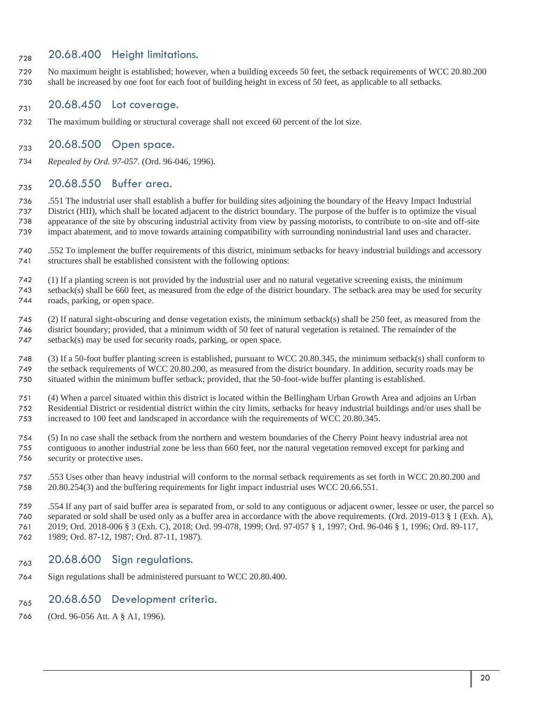# $_{728}$  20.68.400 Height limitations.

 No maximum height is established; however, when a building exceeds 50 feet, the setback requirements of WCC 20.80.200 shall be increased by one foot for each foot of building height in excess of 50 feet, as applicable to all setbacks.

# $_{731}$  20.68.450 Lot coverage.

The maximum building or structural coverage shall not exceed 60 percent of the lot size.

### $_{733}$  20.68.500 Open space.

*Repealed by Ord. 97-057.* (Ord. 96-046, 1996).

# <sub>735</sub> 20.68.550 Buffer area.

 .551 The industrial user shall establish a buffer for building sites adjoining the boundary of the Heavy Impact Industrial District (HII), which shall be located adjacent to the district boundary. The purpose of the buffer is to optimize the visual appearance of the site by obscuring industrial activity from view by passing motorists, to contribute to on-site and off-site impact abatement, and to move towards attaining compatibility with surrounding nonindustrial land uses and character.

 .552 To implement the buffer requirements of this district, minimum setbacks for heavy industrial buildings and accessory structures shall be established consistent with the following options:

 (1) If a planting screen is not provided by the industrial user and no natural vegetative screening exists, the minimum setback(s) shall be 660 feet, as measured from the edge of the district boundary. The setback area may be used for security roads, parking, or open space.

 (2) If natural sight-obscuring and dense vegetation exists, the minimum setback(s) shall be 250 feet, as measured from the district boundary; provided, that a minimum width of 50 feet of natural vegetation is retained. The remainder of the setback(s) may be used for security roads, parking, or open space.

 (3) If a 50-foot buffer planting screen is established, pursuant to WCC 20.80.345, the minimum setback(s) shall conform to the setback requirements of WCC 20.80.200, as measured from the district boundary. In addition, security roads may be situated within the minimum buffer setback; provided, that the 50-foot-wide buffer planting is established.

 (4) When a parcel situated within this district is located within the Bellingham Urban Growth Area and adjoins an Urban Residential District or residential district within the city limits, setbacks for heavy industrial buildings and/or uses shall be increased to 100 feet and landscaped in accordance with the requirements of WCC 20.80.345.

- (5) In no case shall the setback from the northern and western boundaries of the Cherry Point heavy industrial area not contiguous to another industrial zone be less than 660 feet, nor the natural vegetation removed except for parking and
- security or protective uses.

 .553 Uses other than heavy industrial will conform to the normal setback requirements as set forth in WCC 20.80.200 and 20.80.254(3) and the buffering requirements for light impact industrial uses WCC 20.66.551.

 .554 If any part of said buffer area is separated from, or sold to any contiguous or adjacent owner, lessee or user, the parcel so separated or sold shall be used only as a buffer area in accordance with the above requirements. (Ord. 2019-013 § 1 (Exh. A), 2019; Ord. 2018-006 § 3 (Exh. C), 2018; Ord. 99-078, 1999; Ord. 97-057 § 1, 1997; Ord. 96-046 § 1, 1996; Ord. 89-117, 1989; Ord. 87-12, 1987; Ord. 87-11, 1987).

- $_{763}$  20.68.600 Sign regulations.
- Sign regulations shall be administered pursuant to WCC 20.80.400.

# $_{765}$  20.68.650 Development criteria.

(Ord. 96-056 Att. A § A1, 1996).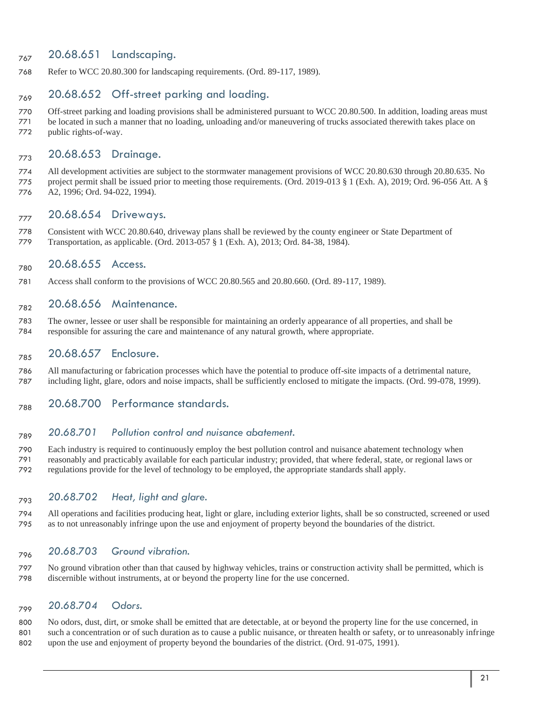# $_{767}$  20.68.651 Landscaping.

Refer to WCC 20.80.300 for landscaping requirements. (Ord. 89-117, 1989).

# $_{769}$  20.68.652 Off-street parking and loading.

 Off-street parking and loading provisions shall be administered pursuant to WCC 20.80.500. In addition, loading areas must be located in such a manner that no loading, unloading and/or maneuvering of trucks associated therewith takes place on public rights-of-way.

# 773 20.68.653 Drainage.

 All development activities are subject to the stormwater management provisions of WCC 20.80.630 through 20.80.635. No project permit shall be issued prior to meeting those requirements. (Ord. 2019-013 § 1 (Exh. A), 2019; Ord. 96-056 Att. A § A2, 1996; Ord. 94-022, 1994).

### 777 20.68.654 Driveways.

 Consistent with WCC 20.80.640, driveway plans shall be reviewed by the county engineer or State Department of Transportation, as applicable. (Ord. 2013-057 § 1 (Exh. A), 2013; Ord. 84-38, 1984).

### <sub>780</sub> 20.68.655 Access.

Access shall conform to the provisions of WCC 20.80.565 and 20.80.660. (Ord. 89-117, 1989).

### <sub>782</sub> 20.68.656 Maintenance.

 The owner, lessee or user shall be responsible for maintaining an orderly appearance of all properties, and shall be responsible for assuring the care and maintenance of any natural growth, where appropriate.

### <sub>785</sub> 20.68.657 Enclosure.

 All manufacturing or fabrication processes which have the potential to produce off-site impacts of a detrimental nature, including light, glare, odors and noise impacts, shall be sufficiently enclosed to mitigate the impacts. (Ord. 99-078, 1999).

 $_{788}$  20.68.700 Performance standards.

### *20.68.701 Pollution control and nuisance abatement.*

 Each industry is required to continuously employ the best pollution control and nuisance abatement technology when reasonably and practicably available for each particular industry; provided, that where federal, state, or regional laws or regulations provide for the level of technology to be employed, the appropriate standards shall apply.

### *20.68.702 Heat, light and glare.*

 All operations and facilities producing heat, light or glare, including exterior lights, shall be so constructed, screened or used as to not unreasonably infringe upon the use and enjoyment of property beyond the boundaries of the district.

### *20.68.703 Ground vibration.*

 No ground vibration other than that caused by highway vehicles, trains or construction activity shall be permitted, which is discernible without instruments, at or beyond the property line for the use concerned.

### *20.68.704 Odors.*

 No odors, dust, dirt, or smoke shall be emitted that are detectable, at or beyond the property line for the use concerned, in such a concentration or of such duration as to cause a public nuisance, or threaten health or safety, or to unreasonably infringe upon the use and enjoyment of property beyond the boundaries of the district. (Ord. 91-075, 1991).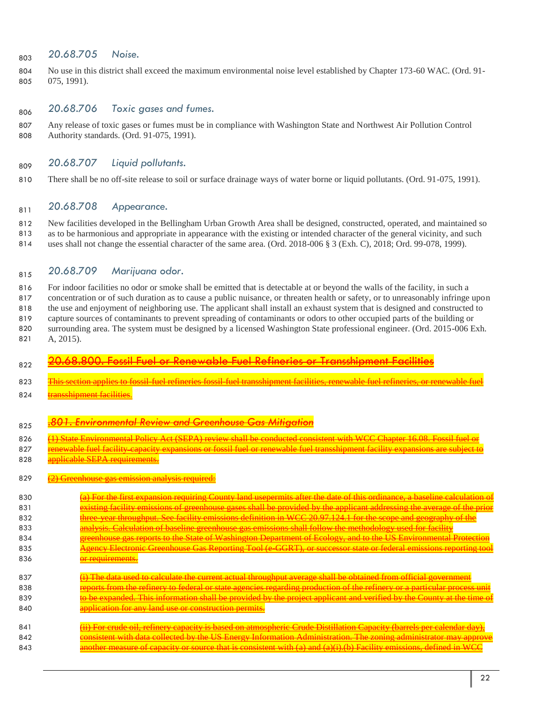### 803 20.68.705 Noise.

 No use in this district shall exceed the maximum environmental noise level established by Chapter 173-60 WAC. (Ord. 91- 075, 1991).

# *20.68.706 Toxic gases and fumes.*

 Any release of toxic gases or fumes must be in compliance with Washington State and Northwest Air Pollution Control Authority standards. (Ord. 91-075, 1991).

### *20.68.707 Liquid pollutants.*

There shall be no off-site release to soil or surface drainage ways of water borne or liquid pollutants. (Ord. 91-075, 1991).

### *20.68.708 Appearance.*

 New facilities developed in the Bellingham Urban Growth Area shall be designed, constructed, operated, and maintained so as to be harmonious and appropriate in appearance with the existing or intended character of the general vicinity, and such uses shall not change the essential character of the same area. (Ord. 2018-006 § 3 (Exh. C), 2018; Ord. 99-078, 1999).

### *20.68.709 Marijuana odor.*

 For indoor facilities no odor or smoke shall be emitted that is detectable at or beyond the walls of the facility, in such a concentration or of such duration as to cause a public nuisance, or threaten health or safety, or to unreasonably infringe upon the use and enjoyment of neighboring use. The applicant shall install an exhaust system that is designed and constructed to capture sources of contaminants to prevent spreading of contaminants or odors to other occupied parts of the building or surrounding area. The system must be designed by a licensed Washington State professional engineer. (Ord. 2015-006 Exh. A, 2015).

# <sub>822</sub> 20.68.800. Fossil Fuel or Renewable Fuel Refineries or Transshipment Facilities

- 823 This section applies to fossil-fuel refineries fossil-fuel transshipment facilities, renewable fuel refineries, or renewable fue
- 824 transshipment facilities

# *.801. Environmental Review and Greenhouse Gas Mitigation*

- 826 (H) State Environmental Policy Act (SEPA) review shall be conducted consistent with WCC Chapter 16.08. Fossil fuel or
- 827 renewable fuel facility capacity 828 applicable SEPA requirements

#### 829 (2) Greenhouse gas emission analysis required:

- $\overline{a}$  For the first expansion requiring County land usepermits after the date of this ordinal in baseline calculation of the calculation of the calculation of the calculation of the calculation of the calculation o 831 existing facility emissions of greenhouse gases shall be provided by the applicant addressing the average of the p 832 three-year throughput. See facility emissions definition in WCC 20.97.124.1 for the scope and geography of the **analysis. Calculation of baseline greenhouse gas emissions shall follow the methodology used for facility**
- **greenhouse gas reports to the State of Washington Department of Ecology, and to the US Environmental Protection Agency Electronic Greenhouse Gas Reporting Tool (e-GGRT), or successor**
- **or requirements.**
- 837  $\overline{ii}$  The data used to calculate the current actual throughput average shall be obtaine **reports from the refinery to federal or state agencies regarding production of the refinery or a particular process unit process unit process unit process unit process unit process unit process unit process unit proce to be expanded. This information shall be provided by the project applicant and verified by the time of the time of the time of the time of the time of the time of the time of the time of the time of the time of the t application for any land use or construction permits**
- **(ii) For crude oil, refinery capacity is based on atmospheric Crude Distinguish** 842 consistent with data collected by the US Energy Information Administration. The zoning administrator may approve **another measure of capacity or source that is consistent with (a) and (a)(i).(b) Facility emissions**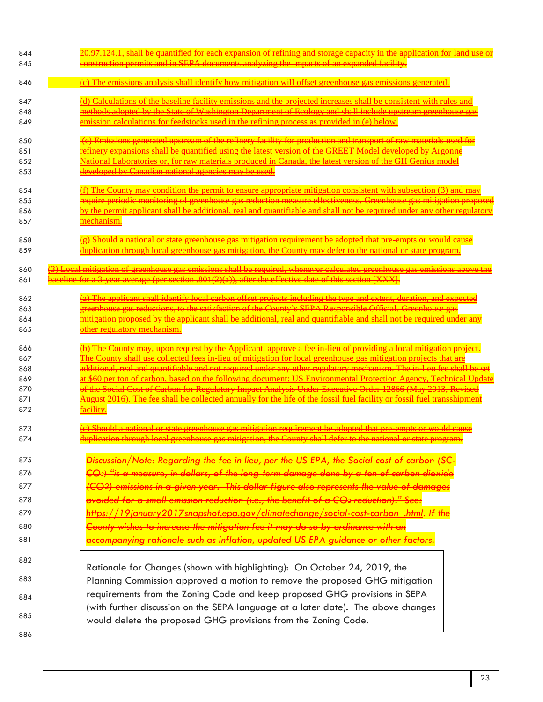| 844<br>845                                    | construction permits and in SEPA documents analyzing the impacts of an expanded facility.                                                                                                                                                                                                                                                                                                                                                                                                                                                                                                 |
|-----------------------------------------------|-------------------------------------------------------------------------------------------------------------------------------------------------------------------------------------------------------------------------------------------------------------------------------------------------------------------------------------------------------------------------------------------------------------------------------------------------------------------------------------------------------------------------------------------------------------------------------------------|
| 846                                           | <u>(e) The emissions analysis shall identify how mitigation will offset greenhouse</u>                                                                                                                                                                                                                                                                                                                                                                                                                                                                                                    |
| 847<br>848<br>849                             | missions and the projected increases s<br><u>dopted by the State of Washington Department of Ecology and shall include upstream greenhouse</u><br>calculations for feedstocks used in the refining process as provided in (e) below.                                                                                                                                                                                                                                                                                                                                                      |
| 850<br>851<br>852<br>853                      | expansions shall be quantified using the latest version of the GREET Model developed by Argonne<br>boratories or, for raw materials produced in Canada, the latest version of the GH Genius model<br><del>ped by Canadian national agencies may be used.</del>                                                                                                                                                                                                                                                                                                                            |
| 854<br>855<br>856<br>857                      | (f) The County may condition the permit to ensure appropriate mitigation consistent with subsection (3) and may<br>periodic monitoring of greenhouse gas reduction measure effectiveness. Greenhouse gas mitigation proposed<br><u>yy the permit applicant shall be additional, real and quantifiable and shall not be required under any other regulatory</u><br><del>mechanism.</del>                                                                                                                                                                                                   |
| 858<br>859                                    | <del>) Should a national or state greenhouse gas mitigation requirement be adopted that pre-empts or would cause</del><br>luplication through local greenhouse gas mitigation, the County may defer to the national or state program.                                                                                                                                                                                                                                                                                                                                                     |
| 860<br>861                                    | 3) Local mitigation of greenhouse gas emissions shall be required, whenever calculated greenhouse gas emiss<br>$\frac{1}{2}$ haseline for a 3 year average (per section $\frac{1}{2}(1/2)(a)$ ) after the effective date of this section $\frac{1}{2}$                                                                                                                                                                                                                                                                                                                                    |
| 862<br>863<br>864<br>865                      | a) The annlicant shall identify local carbon offset projects including the type and extent, duration, and expecte<br>reenhouse cas reductions, to the satisfaction of the County's SEPA Responsible Official. Greenhouse eas<br>nitigation proposed by the applicant shall be additional, real and quantifiable and shall not be required under an<br><mark>ther regulatory mechanism.</mark>                                                                                                                                                                                             |
| 866<br>867<br>868<br>869<br>870<br>871<br>872 | County may, upon request by the Applicant, approve a fee in lieu of providing a local miti-<br>County shall use collected fees in lieu of mitigation for local greenhouse are<br>f the Social Cost of Carbon for Regulatory Impact Analysis Under Executive Order 12866 (May 2013, Peyised<br>ugust 2016). The fee shall be collected annually for the life of the fossil fuel facility or fossil fuel transshipment<br>aeility.                                                                                                                                                          |
| 873<br>874                                    | e) Should a national or state greenhouse gas mitigation requirement be adopted that pre-empts or would cause<br>duplication through local greenhouse gas mitigation, the County shall defer to the national or state program.                                                                                                                                                                                                                                                                                                                                                             |
| 875<br>876<br>877<br>878<br>879<br>880        | <del>Discussion/Note: Regarding the fee in lieu, per the US EPA, the Social cost of cark</del><br><del>CO2) "is a measure, in dollars, of the long-term damage done by a ton of carbon dioxide</del><br><del>(CO2) emissions in a given year.  This dollar figure also represents the value of damages</del><br><del>avoided for a small emission reduction (i.e., the benefit of a CO2 reduction)." See:</del><br>https://19january2017snapshot.epa.gov/climatechange/social-cost-carbon .html. If the<br>County wishes to increase the mitigation fee it may do so by ordinance with an |
| 881                                           | <del>accompanying rationale such as inflation, updated US EPA guidance or other factors.</del>                                                                                                                                                                                                                                                                                                                                                                                                                                                                                            |
| 882<br>883                                    | Rationale for Changes (shown with highlighting): On October 24, 2019, the                                                                                                                                                                                                                                                                                                                                                                                                                                                                                                                 |
| 884                                           | Planning Commission approved a motion to remove the proposed GHG mitigation<br>requirements from the Zoning Code and keep proposed GHG provisions in SEPA                                                                                                                                                                                                                                                                                                                                                                                                                                 |
| 885                                           | (with further discussion on the SEPA language at a later date). The above changes<br>would delete the proposed GHG provisions from the Zoning Code.                                                                                                                                                                                                                                                                                                                                                                                                                                       |
| 886                                           |                                                                                                                                                                                                                                                                                                                                                                                                                                                                                                                                                                                           |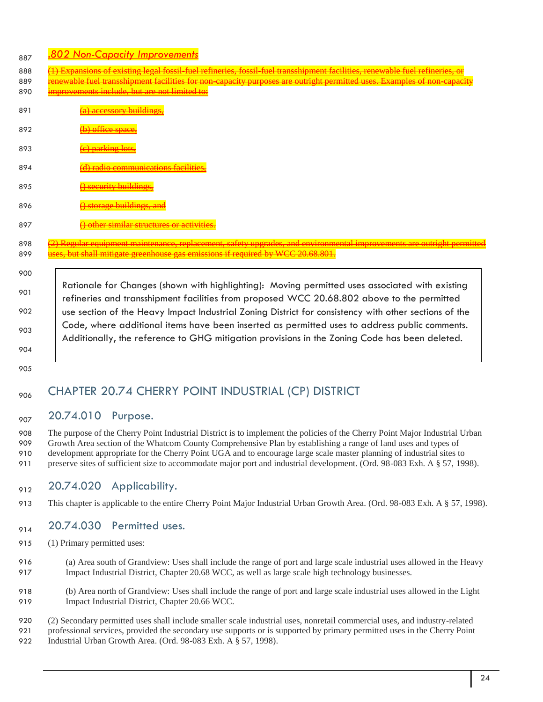- *.802 Non-Capacity Improvements* <sup>887</sup>
- 888 (<del>1) Expansions of existing legal fossil-fuel refineries, fossil-fuel transshipment facilities, renewable fuel refineries, or</del>
- 889 renewable fuel transshipment facilities for non-capacity purposes are outright permitted uses. 890 improvements include, but are not limited to:
- 891 (a) accessory buildings,
- 892 (b) office space,
- 893 <del>(c) parking lot</del>
- 894 **(d) radio communications facilitie**
- 895 <del>() security buildin</del>
- 896 (a) storage buildings, and
- 897 () other similar structures or activities.

898 (2) Regular equipment maintenance, replacement, safety upgrades, and environmental improvements are outright permitted 899 uses, but shall mitigate greenhouse gas emissions if required by WCC 20.68.801.

901 902 903 904 Rationale for Changes (shown with highlighting): Moving permitted uses associated with existing refineries and transshipment facilities from proposed WCC 20.68.802 above to the permitted use section of the Heavy Impact Industrial Zoning District for consistency with other sections of the Code, where additional items have been inserted as permitted uses to address public comments. Additionally, the reference to GHG mitigation provisions in the Zoning Code has been deleted.

905

900

# <sub>906</sub> CHAPTER 20.74 CHERRY POINT INDUSTRIAL (CP) DISTRICT

# <sub>907</sub> 20.74.010 Purpose.

 The purpose of the Cherry Point Industrial District is to implement the policies of the Cherry Point Major Industrial Urban Growth Area section of the Whatcom County Comprehensive Plan by establishing a range of land uses and types of development appropriate for the Cherry Point UGA and to encourage large scale master planning of industrial sites to 911 preserve sites of sufficient size to accommodate major port and industrial development. (Ord. 98-083 Exh. A § 57, 1998).

# $_{912}$  20.74.020 Applicability.

913 This chapter is applicable to the entire Cherry Point Major Industrial Urban Growth Area. (Ord. 98-083 Exh. A § 57, 1998).

# $_{914}$  20.74.030 Permitted uses.

- 915 (1) Primary permitted uses:
- 916 (a) Area south of Grandview: Uses shall include the range of port and large scale industrial uses allowed in the Heavy 917 Impact Industrial District, Chapter 20.68 WCC, as well as large scale high technology businesses.
- 918 (b) Area north of Grandview: Uses shall include the range of port and large scale industrial uses allowed in the Light 919 Impact Industrial District, Chapter 20.66 WCC.
- 920 (2) Secondary permitted uses shall include smaller scale industrial uses, nonretail commercial uses, and industry-related 921 professional services, provided the secondary use supports or is supported by primary permitted uses in the Cherry Point 922 Industrial Urban Growth Area. (Ord. 98-083 Exh. A § 57, 1998).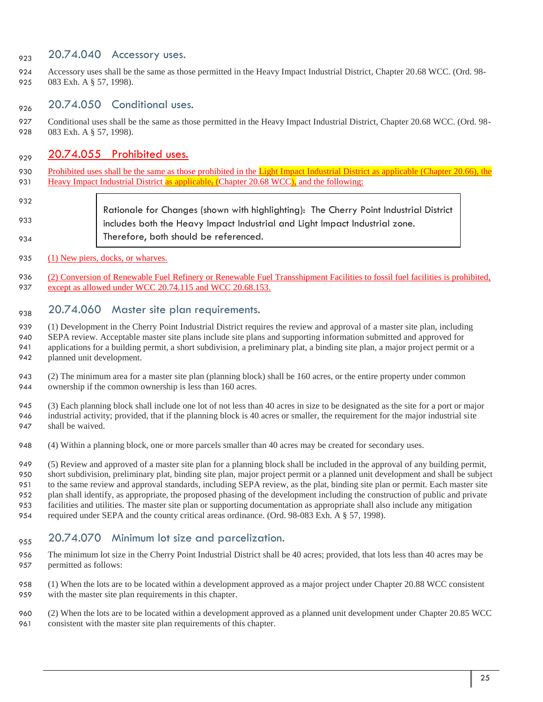# <sub>923</sub> 20.74.040 Accessory uses.

 Accessory uses shall be the same as those permitted in the Heavy Impact Industrial District, Chapter 20.68 WCC. (Ord. 98- 083 Exh. A § 57, 1998).

# $_{926}$  20.74.050 Conditional uses.

 Conditional uses shall be the same as those permitted in the Heavy Impact Industrial District, Chapter 20.68 WCC. (Ord. 98- 083 Exh. A § 57, 1998).

## $20.74.055$  Prohibited uses.

- 930 Prohibited uses shall be the same as those prohibited in the Light Impact Industrial District as applicable (Chapter 20.66), the 931 Heavy Impact Industrial District as applicable, (Chapter 20.68 WCC), and the following:
- Rationale for Changes (shown with highlighting): The Cherry Point Industrial District includes both the Heavy Impact Industrial and Light Impact Industrial zone. Therefore, both should be referenced.
- 935 (1) New piers, docks, or wharves.
- (2) Conversion of Renewable Fuel Refinery or Renewable Fuel Transshipment Facilities to fossil fuel facilities is prohibited, 937 except as allowed under WCC 20.74.115 and WCC 20.68.153.

### $_{938}$  20.74.060 Master site plan requirements.

 (1) Development in the Cherry Point Industrial District requires the review and approval of a master site plan, including SEPA review. Acceptable master site plans include site plans and supporting information submitted and approved for applications for a building permit, a short subdivision, a preliminary plat, a binding site plan, a major project permit or a planned unit development.

- (2) The minimum area for a master site plan (planning block) shall be 160 acres, or the entire property under common ownership if the common ownership is less than 160 acres.
- (3) Each planning block shall include one lot of not less than 40 acres in size to be designated as the site for a port or major industrial activity; provided, that if the planning block is 40 acres or smaller, the requirement for the major industrial site shall be waived.
- (4) Within a planning block, one or more parcels smaller than 40 acres may be created for secondary uses.

 (5) Review and approved of a master site plan for a planning block shall be included in the approval of any building permit, short subdivision, preliminary plat, binding site plan, major project permit or a planned unit development and shall be subject to the same review and approval standards, including SEPA review, as the plat, binding site plan or permit. Each master site plan shall identify, as appropriate, the proposed phasing of the development including the construction of public and private facilities and utilities. The master site plan or supporting documentation as appropriate shall also include any mitigation required under SEPA and the county critical areas ordinance. (Ord. 98-083 Exh. A § 57, 1998).

- $_{955}$  20.74.070 Minimum lot size and parcelization.
- The minimum lot size in the Cherry Point Industrial District shall be 40 acres; provided, that lots less than 40 acres may be permitted as follows:
- (1) When the lots are to be located within a development approved as a major project under Chapter 20.88 WCC consistent with the master site plan requirements in this chapter.
- (2) When the lots are to be located within a development approved as a planned unit development under Chapter 20.85 WCC consistent with the master site plan requirements of this chapter.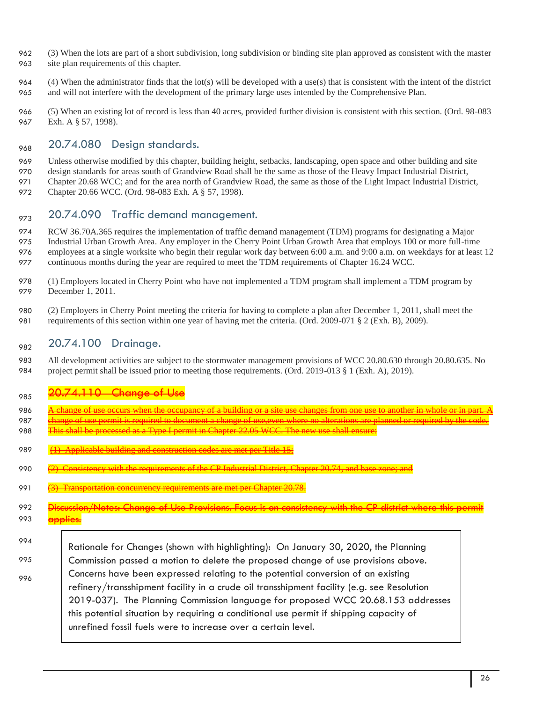- 962 (3) When the lots are part of a short subdivision, long subdivision or binding site plan approved as consistent with the master
- 963 site plan requirements of this chapter.
- 964 (4) When the administrator finds that the lot(s) will be developed with a use(s) that is consistent with the intent of the district 965 and will not interfere with the development of the primary large uses intended by the Comprehensive Plan.
- 966 (5) When an existing lot of record is less than 40 acres, provided further division is consistent with this section. (Ord. 98-083 967 Exh. A § 57, 1998).

# $_{968}$  20.74.080 Design standards.

- 969 Unless otherwise modified by this chapter, building height, setbacks, landscaping, open space and other building and site
- 970 design standards for areas south of Grandview Road shall be the same as those of the Heavy Impact Industrial District,
- 971 Chapter 20.68 WCC; and for the area north of Grandview Road, the same as those of the Light Impact Industrial District,
- 972 Chapter 20.66 WCC. (Ord. 98-083 Exh. A § 57, 1998).

# $20.74.090$  Traffic demand management.

- 974 RCW 36.70A.365 requires the implementation of traffic demand management (TDM) programs for designating a Major 975 Industrial Urban Growth Area. Any employer in the Cherry Point Urban Growth Area that employs 100 or more full-time 976 employees at a single worksite who begin their regular work day between 6:00 a.m. and 9:00 a.m. on weekdays for at least 12 977 continuous months during the year are required to meet the TDM requirements of Chapter 16.24 WCC.
- 978 (1) Employers located in Cherry Point who have not implemented a TDM program shall implement a TDM program by 979 December 1, 2011.
- 980 (2) Employers in Cherry Point meeting the criteria for having to complete a plan after December 1, 2011, shall meet the 981 requirements of this section within one year of having met the criteria. (Ord. 2009-071 § 2 (Exh. B), 2009).

# <sub>982</sub> 20.74.100 Drainage.

983 All development activities are subject to the stormwater management provisions of WCC 20.80.630 through 20.80.635. No 984 project permit shall be issued prior to meeting those requirements. (Ord. 2019-013 § 1 (Exh. A), 2019).

# <sup>985</sup> 20.74.110 Change of Use

- 986 A change of use occurs when the occupancy of a building or a site use changes from one use to another in whole or in part. A
- 987 change of use permit is required to document a change of use, even where no alterations are planned or re 988 This shall be processed as a Type I permit in Chapter 22.05 WCC. The new use shall ensure:
- 
- 989 (1) Applicable building and construction codes are met per Title
- 990  $\left( 2 \right)$  Consistency with the requirements of the CP Industrial District, Chapter 20.74, and base  $\frac{1}{2}$
- 991 (3) Transportation concurrency requirements are met per Chapter 20.78.
- 992 Discussion/Notes: Change of Use Provisions. Focus is on consistency with the CP district where this permit 993 <del>applies.</del>
- 
- 994 995

996

Rationale for Changes (shown with highlighting): On January 30, 2020, the Planning Commission passed a motion to delete the proposed change of use provisions above. Concerns have been expressed relating to the potential conversion of an existing refinery/transshipment facility in a crude oil transshipment facility (e.g. see Resolution 2019-037). The Planning Commission language for proposed WCC 20.68.153 addresses this potential situation by requiring a conditional use permit if shipping capacity of unrefined fossil fuels were to increase over a certain level.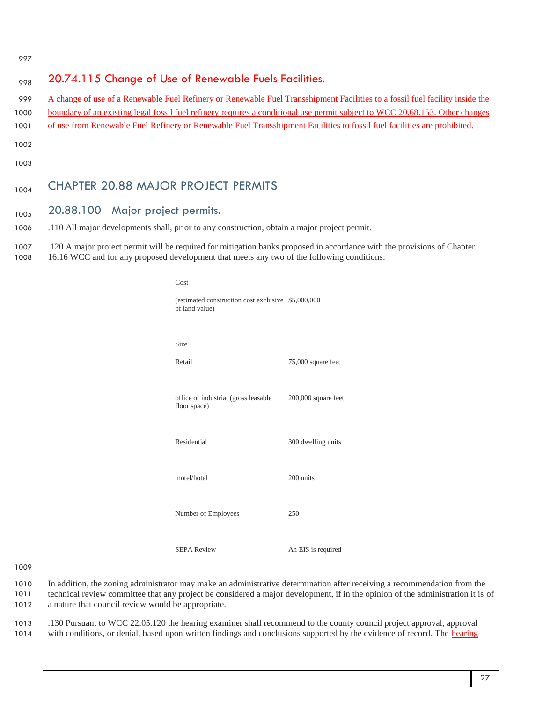997

| 998                          | 20.74.115 Change of Use of Renewable Fuels Facilities.                                                                                                                                                                                                                                                                                                                                   |
|------------------------------|------------------------------------------------------------------------------------------------------------------------------------------------------------------------------------------------------------------------------------------------------------------------------------------------------------------------------------------------------------------------------------------|
| 999<br>1000<br>1001          | A change of use of a Renewable Fuel Refinery or Renewable Fuel Transshipment Facilities to a fossil fuel facility inside the<br>boundary of an existing legal fossil fuel refinery requires a conditional use permit subject to WCC 20.68.153. Other changes<br>of use from Renewable Fuel Refinery or Renewable Fuel Transshipment Facilities to fossil fuel facilities are prohibited. |
| 1002<br>1003                 |                                                                                                                                                                                                                                                                                                                                                                                          |
| 1004                         | <b>CHAPTER 20.88 MAJOR PROJECT PERMITS</b>                                                                                                                                                                                                                                                                                                                                               |
| 1005<br>1006<br>1007<br>1008 | 20.88.100 Major project permits.<br>.110 All major developments shall, prior to any construction, obtain a major project permit.<br>.120 A major project permit will be required for mitigation banks proposed in accordance with the provisions of Chapter<br>16.16 WCC and for any proposed development that meets any two of the following conditions:                                |
|                              |                                                                                                                                                                                                                                                                                                                                                                                          |

(estimated construction cost exclusive \$5,000,000

```
Cost
```

| of land value)                                       |                     |
|------------------------------------------------------|---------------------|
| Size                                                 |                     |
| Retail                                               | 75,000 square feet  |
| office or industrial (gross leasable<br>floor space) | 200,000 square feet |
| Residential                                          | 300 dwelling units  |
| motel/hotel                                          | 200 units           |
| Number of Employees                                  | 250                 |
| <b>SEPA Review</b>                                   | An EIS is required  |

1009

1010 In addition, the zoning administrator may make an administrative determination after receiving a recommendation from the 1011 technical review committee that any project be considered a major development, if in the opinion of the administration it is of

1012 a nature that council review would be appropriate.

1013 .130 Pursuant to WCC 22.05.120 the hearing examiner shall recommend to the county council project approval, approval 1014 with conditions, or denial, based upon written findings and conclusions supported by the evidence of record. The hearing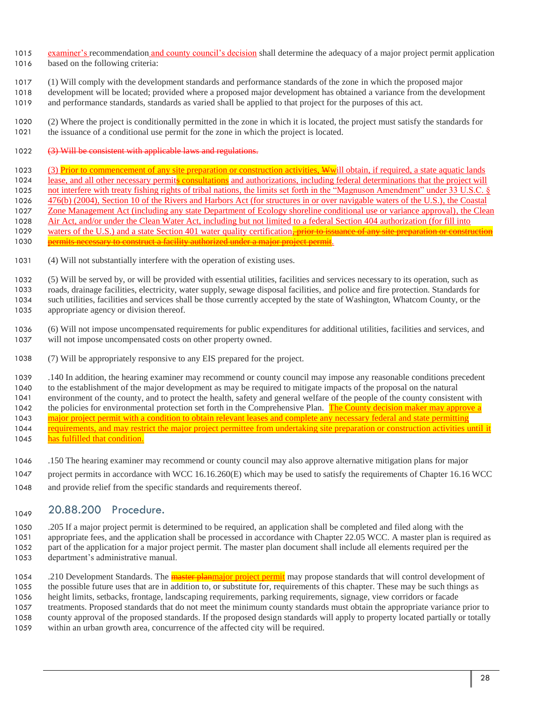- 1015 examiner's recommendation and county council's decision shall determine the adequacy of a major project permit application based on the following criteria:
- (1) Will comply with the development standards and performance standards of the zone in which the proposed major
- development will be located; provided where a proposed major development has obtained a variance from the development and performance standards, standards as varied shall be applied to that project for the purposes of this act.
- (2) Where the project is conditionally permitted in the zone in which it is located, the project must satisfy the standards for the issuance of a conditional use permit for the zone in which the project is located.
- 1022 (3) Will be consistent with applicable laws and regulations.
- 1023 (3) Prior to commencement of any site preparation or construction activities, Wwill obtain, if required, a state aquatic lands 1024 lease, and all other necessary permits consultations and authorizations, including federal determinations that the project will 1025 not interfere with treaty fishing rights of tribal nations, the limits set forth in the "Magnuson Amendment" under 33 U.S.C. § 476(b) (2004), Section 10 of the Rivers and Harbors Act (for structures in or over navigable waters of the U.S.), the Coastal Zone Management Act (including any state Department of Ecology shoreline conditional use or variance approval), the Clean Air Act, and/or under the Clean Water Act, including but not limited to a federal Section 404 authorization (for fill into 1029 waters of the U.S.) and a state Section 401 water quality certification. prior to issuance of any site preparation or construction 1030 permits necessary to construct a facility authorized under a major project permit.
- (4) Will not substantially interfere with the operation of existing uses.
- (5) Will be served by, or will be provided with essential utilities, facilities and services necessary to its operation, such as roads, drainage facilities, electricity, water supply, sewage disposal facilities, and police and fire protection. Standards for such utilities, facilities and services shall be those currently accepted by the state of Washington, Whatcom County, or the appropriate agency or division thereof.
- (6) Will not impose uncompensated requirements for public expenditures for additional utilities, facilities and services, and will not impose uncompensated costs on other property owned.
- (7) Will be appropriately responsive to any EIS prepared for the project.
- .140 In addition, the hearing examiner may recommend or county council may impose any reasonable conditions precedent to the establishment of the major development as may be required to mitigate impacts of the proposal on the natural environment of the county, and to protect the health, safety and general welfare of the people of the county consistent with 1042 the policies for environmental protection set forth in the Comprehensive Plan. The County decision maker may approve a 1043 major project permit with a condition to obtain relevant leases and complete any necessary federal and state permitting 1044 requirements, and may restrict the major project permittee from undertaking site preparation or construction activities until it 1045 has fulfilled that condition.
- .150 The hearing examiner may recommend or county council may also approve alternative mitigation plans for major
- project permits in accordance with WCC 16.16.260(E) which may be used to satisfy the requirements of Chapter 16.16 WCC
- and provide relief from the specific standards and requirements thereof.

# 1049 20.88.200 Procedure.

- .205 If a major project permit is determined to be required, an application shall be completed and filed along with the appropriate fees, and the application shall be processed in accordance with Chapter 22.05 WCC. A master plan is required as part of the application for a major project permit. The master plan document shall include all elements required per the department's administrative manual.
- 1054 .210 Development Standards. The **master planmajor project permit** may propose standards that will control development of the possible future uses that are in addition to, or substitute for, requirements of this chapter. These may be such things as height limits, setbacks, frontage, landscaping requirements, parking requirements, signage, view corridors or facade treatments. Proposed standards that do not meet the minimum county standards must obtain the appropriate variance prior to county approval of the proposed standards. If the proposed design standards will apply to property located partially or totally within an urban growth area, concurrence of the affected city will be required.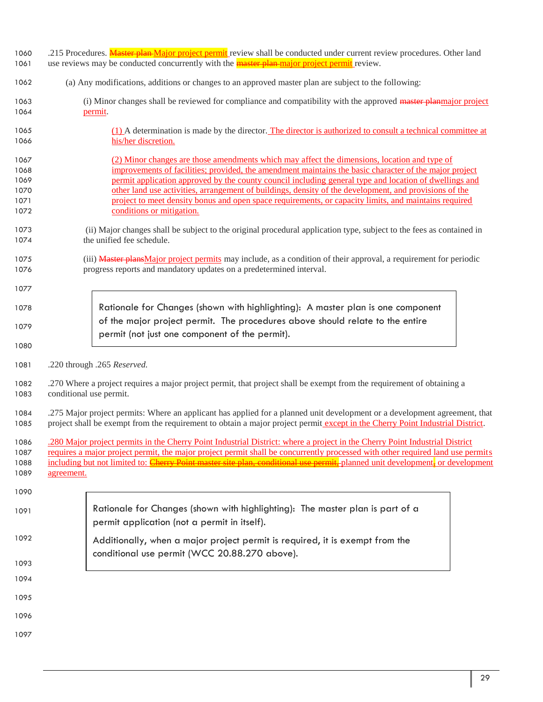- 1060 .215 Procedures. Master plan Major project permit review shall be conducted under current review procedures. Other land
- 1061 use reviews may be conducted concurrently with the **master plan-major project permit** review.
- (a) Any modifications, additions or changes to an approved master plan are subject to the following:
- 1063 (i) Minor changes shall be reviewed for compliance and compatibility with the approved master planmajor project permit.
- (1) A determination is made by the director. The director is authorized to consult a technical committee at his/her discretion.
- (2) Minor changes are those amendments which may affect the dimensions, location and type of improvements of facilities; provided, the amendment maintains the basic character of the major project permit application approved by the county council including general type and location of dwellings and other land use activities, arrangement of buildings, density of the development, and provisions of the project to meet density bonus and open space requirements, or capacity limits, and maintains required conditions or mitigation.
- (ii) Major changes shall be subject to the original procedural application type, subject to the fees as contained in the unified fee schedule.
- 1075 (iii) Master plans Major project permits may include, as a condition of their approval, a requirement for periodic progress reports and mandatory updates on a predetermined interval.
- Rationale for Changes (shown with highlighting): A master plan is one component of the major project permit. The procedures above should relate to the entire permit (not just one component of the permit).
- 

.220 through .265 *Reserved.*

 .270 Where a project requires a major project permit, that project shall be exempt from the requirement of obtaining a conditional use permit.

 .275 Major project permits: Where an applicant has applied for a planned unit development or a development agreement, that project shall be exempt from the requirement to obtain a major project permit except in the Cherry Point Industrial District.

 .280 Major project permits in the Cherry Point Industrial District: where a project in the Cherry Point Industrial District requires a major project permit, the major project permit shall be concurrently processed with other required land use permits 1088 including but not limited to: Cherry Point master site plan, conditional use permit, planned unit development, or development 1089 agreement.

- Rationale for Changes (shown with highlighting): The master plan is part of a permit application (not a permit in itself). Additionally, when a major project permit is required, it is exempt from the conditional use permit (WCC 20.88.270 above).
- 
- 
- 
-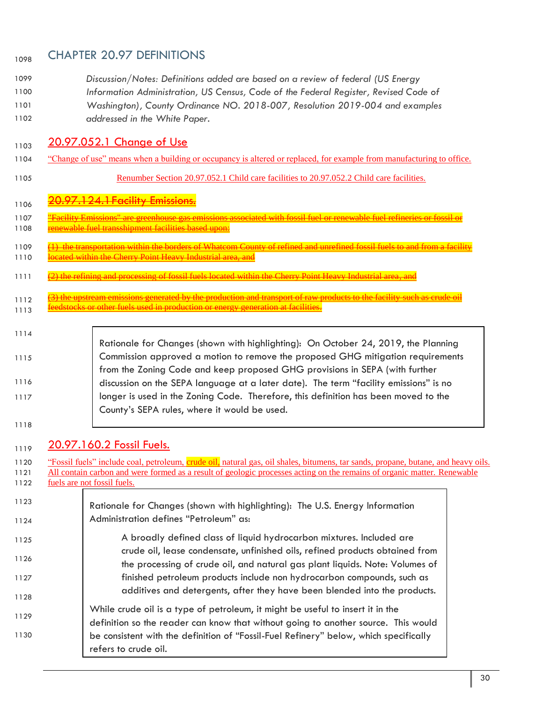# 1098 CHAPTER 20.97 DEFINITIONS

- 1099 *Discussion/Notes: Definitions added are based on a review of federal (US Energy* 1100 *Information Administration, US Census, Code of the Federal Register, Revised Code of*  1101 *Washington), County Ordinance NO. 2018-007, Resolution 2019-004 and examples*
- 1102 *addressed in the White Paper.*

# 1103 20.97.052.1 Change of Use

- 1104 "Change of use" means when a building or occupancy is altered or replaced, for example from manufacturing to office.
- 

1105 Renumber Section 20.97.052.1 Child care facilities to 20.97.052.2 Child care facilities.

# 1106 20.97.124.1 Facility Emissions.

- 1107 "<del>Facility Emissions" are greenhouse gas emissions associated with fossil fuel or renewable fuel refineries or fossil</del> 1108 renewable fuel transshipment facilities based upon:
- 1109 (1) the transportation within the borders of Whatcom County of refined and unrefined fossil fuels to and from a facility 1110 located within the Cherry Point Heavy Industrial area, and
- 1111 (2) the refining and processing of fossil fuels located within the Cherry Point Heavy Industrial

1112 (3) the upstream emissions generated by the production and transport of raw products to the facility such as crude oil Figure 5 and 5 and 5 and 5 and 5 and 5 and 5 and 5 and 5 and 5 and 5 and 5 and 5 and 5 and 5 and 5 and 5 and 5 and 5 and 5 and 5 and 5 and 5 and 5 and 5 and 5 and 5 and 5 and 5 and 5 and 5 and 5 and 5 and 5 and 5 and 5 and

### 1114

#### 1115 1116 1117 Rationale for Changes (shown with highlighting): On October 24, 2019, the Planning Commission approved a motion to remove the proposed GHG mitigation requirements from the Zoning Code and keep proposed GHG provisions in SEPA (with further discussion on the SEPA language at a later date). The term "facility emissions" is no longer is used in the Zoning Code. Therefore, this definition has been moved to the County's SEPA rules, where it would be used.

1118

# $20.97.160.2$  Fossil Fuels.

1120 "Fossil fuels" include coal, petroleum, crude oil, natural gas, oil shales, bitumens, tar sands, propane, butane, and heavy oils. 1121 All contain carbon and were formed as a result of geologic processes acting on the remains of organic matter. Renewable 1122 fuels are not fossil fuels. 1123 1124 1125 1126 1127 1128 1129 1130 Rationale for Changes (shown with highlighting): The U.S. Energy Information Administration defines "Petroleum" as: A broadly defined class of liquid hydrocarbon mixtures. Included are crude oil, lease condensate, unfinished oils, refined products obtained from the processing of crude oil, and natural gas plant liquids. Note: Volumes of finished petroleum products include non hydrocarbon compounds, such as additives and detergents, after they have been blended into the products. While crude oil is a type of petroleum, it might be useful to insert it in the definition so the reader can know that without going to another source. This would be consistent with the definition of "Fossil-Fuel Refinery" below, which specifically refers to crude oil.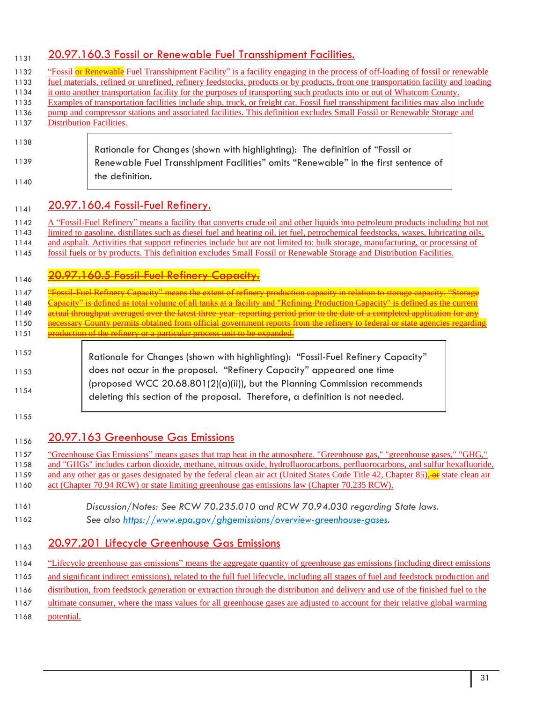# 20.97.160.3 Fossil or Renewable Fuel Transshipment Facilities.

| pump and compressor stations and associated facilities. This definition excludes Small Fossil or Renewable Storage and<br><b>Distribution Facilities.</b>                                                                                             |
|-------------------------------------------------------------------------------------------------------------------------------------------------------------------------------------------------------------------------------------------------------|
|                                                                                                                                                                                                                                                       |
| Rationale for Changes (shown with highlighting): The definition of "Fossil or                                                                                                                                                                         |
| Renewable Fuel Transshipment Facilities" omits "Renewable" in the first sentence of                                                                                                                                                                   |
| the definition.                                                                                                                                                                                                                                       |
| 20.97.160.4 Fossil-Fuel Refinery.                                                                                                                                                                                                                     |
|                                                                                                                                                                                                                                                       |
| A "Fossil-Fuel Refinery" means a facility that converts crude oil and other liquids into petroleum products including but not                                                                                                                         |
|                                                                                                                                                                                                                                                       |
| limited to gasoline, distillates such as diesel fuel and heating oil, jet fuel, petrochemical feedstocks, waxes, lubricating oils,                                                                                                                    |
| and asphalt. Activities that support refineries include but are not limited to: bulk storage, manufacturing, or processing of<br>fossil fuels or by products. This definition excludes Small Fossil or Renewable Storage and Distribution Facilities. |
|                                                                                                                                                                                                                                                       |
| 20.97.160.5 Fossil-Fuel Refinery Capacit                                                                                                                                                                                                              |
| <u>pssil Fuel Refinery Capacity" means the extent of refinery production capacity in relation to storage capacity. "Stora</u>                                                                                                                         |
| apacity" is defined as total volume of all tanks at a facility and "Refining Production Capacity" is defined as the current                                                                                                                           |
| <u>etual throughput averaged over the latest three-year-reporting period prior to the date of a completed application for any</u>                                                                                                                     |
| ecessary County permits obtained from official government reports from the refinery to federal or state agencies regarding<br>production of the refinery or a particular process unit to be expanded.                                                 |
|                                                                                                                                                                                                                                                       |
| Rationale for Changes (shown with highlighting): "Fossil-Fuel Refinery Capacity"                                                                                                                                                                      |
| does not occur in the proposal. "Refinery Capacity" appeared one time                                                                                                                                                                                 |
| (proposed WCC $20.68.801(2)(a)(ii)$ ), but the Planning Commission recommends                                                                                                                                                                         |
| deleting this section of the proposal. Therefore, a definition is not needed.                                                                                                                                                                         |

1159 and any other gas or gases designated by the federal clean air act (United States Code Title 42, Chapter 85), or state clean air 1160 act (Chapter 70.94 RCW) or state limiting greenhouse gas emissions law (Chapter 70.235 RCW).

- 1161 *Discussion/Notes: See RCW 70.235.010 and RCW 70.94.030 regarding State laws.*
- 1162 *See also [https://www.epa.gov/ghgemissions/overview-greenhouse-gases.](https://www.epa.gov/ghgemissions/overview-greenhouse-gases)*

# 1163 20.97.201 Lifecycle Greenhouse Gas Emissions

1164 "Lifecycle greenhouse gas emissions" means the aggregate quantity of greenhouse gas emissions (including direct emissions

1165 and significant indirect emissions), related to the full fuel lifecycle, including all stages of fuel and feedstock production and

1166 distribution, from feedstock generation or extraction through the distribution and delivery and use of the finished fuel to the

1167 ultimate consumer, where the mass values for all greenhouse gases are adjusted to account for their relative global warming

1168 potential.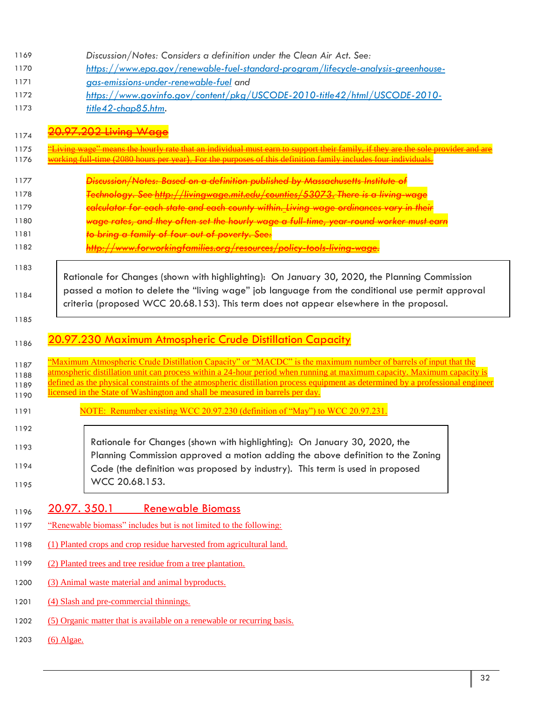| 1169<br>1170<br>1171<br>1172<br>1173         | Discussion/Notes: Considers a definition under the Clean Air Act. See:<br>https://www.epa.gov/renewable-fuel-standard-program/lifecycle-analysis-greenhouse-<br>gas-emissions-under-renewable-fuel and<br>https://www.govinfo.gov/content/pkg/USCODE-2010-title42/html/USCODE-2010-<br>title42-chap85.htm.                                                                                                                                                                                                                             |
|----------------------------------------------|----------------------------------------------------------------------------------------------------------------------------------------------------------------------------------------------------------------------------------------------------------------------------------------------------------------------------------------------------------------------------------------------------------------------------------------------------------------------------------------------------------------------------------------|
| 1174<br>1175<br>1176                         | 97.202 Living We<br>ving wage" means the hourly rate that an individual must earn to support their family, if they are the sole provider and<br>working full time (2080 hours per year). For the purposes of this definition family includes four individuals.                                                                                                                                                                                                                                                                         |
| 1177<br>1178<br>1179<br>1180<br>1181<br>1182 | <del>Discussion/Notes: Based on a definition published by Massachusetts Institute of</del><br>Technology. See http://livingwage.mit.edu/counties/53073. There is a living-wage<br><del>calculator for each state and each county within._Living wage ordinances vary in their</del><br><del>wage rates, and they often set the hourly wage a full-time, year-round worker must earn</del><br><del>to bring a family of four out of poverty. See:</del><br><u>http://www.forworkingfamilies.org/resources/policy-tools-living-wage,</u> |
| 1183<br>1184                                 | Rationale for Changes (shown with highlighting): On January 30, 2020, the Planning Commission<br>passed a motion to delete the "living wage" job language from the conditional use permit approval<br>criteria (proposed WCC 20.68.153). This term does not appear elsewhere in the proposal.                                                                                                                                                                                                                                          |
| 1185<br>1186                                 | <u>20.97.230 Maximum Atmospheric Crude Distillation Capacity</u>                                                                                                                                                                                                                                                                                                                                                                                                                                                                       |
|                                              |                                                                                                                                                                                                                                                                                                                                                                                                                                                                                                                                        |
| 1187<br>1188<br>1189<br>1190                 | "Maximum Atmospheric Crude Distillation Capacity" or "MACDC" is the maximum number of barrels of input that the<br>atmospheric distillation unit can process within a 24-hour period when running at maximum capacity. Maximum capacity is<br>defined as the physical constraints of the atmospheric distillation process equipment as determined by a professional engineer<br>licensed in the State of Washington and shall be measured in barrels per day.                                                                          |
| 1191                                         | NOTE: Renumber existing WCC 20.97.230 (definition of "May") to WCC 20.97.231.                                                                                                                                                                                                                                                                                                                                                                                                                                                          |
| 1192<br>1193<br>1194<br>1195                 | Rationale for Changes (shown with highlighting): On January 30, 2020, the<br>Planning Commission approved a motion adding the above definition to the Zoning<br>Code (the definition was proposed by industry). This term is used in proposed<br>WCC 20.68.153.                                                                                                                                                                                                                                                                        |
| 1196                                         | <u>20.97.350.1</u><br><b>Renewable Biomass</b>                                                                                                                                                                                                                                                                                                                                                                                                                                                                                         |
| 1197                                         | "Renewable biomass" includes but is not limited to the following:                                                                                                                                                                                                                                                                                                                                                                                                                                                                      |
| 1198                                         | (1) Planted crops and crop residue harvested from agricultural land.                                                                                                                                                                                                                                                                                                                                                                                                                                                                   |
| 1199                                         | (2) Planted trees and tree residue from a tree plantation.                                                                                                                                                                                                                                                                                                                                                                                                                                                                             |
| 1200                                         | (3) Animal waste material and animal byproducts.                                                                                                                                                                                                                                                                                                                                                                                                                                                                                       |
| 1201                                         | (4) Slash and pre-commercial thinnings.                                                                                                                                                                                                                                                                                                                                                                                                                                                                                                |
| 1202                                         | (5) Organic matter that is available on a renewable or recurring basis.                                                                                                                                                                                                                                                                                                                                                                                                                                                                |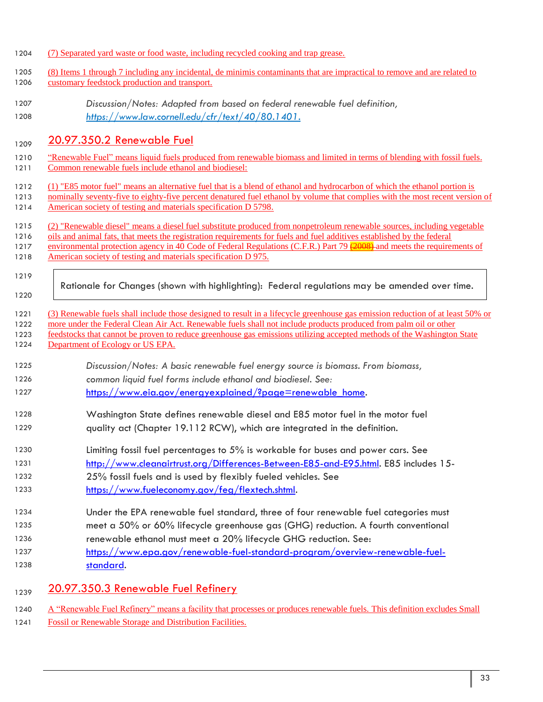- (7) Separated yard waste or food waste, including recycled cooking and trap grease.
- (8) Items 1 through 7 including any incidental, de minimis contaminants that are impractical to remove and are related to customary feedstock production and transport.
- *Discussion/Notes: Adapted from based on federal renewable fuel definition, [https://www.law.cornell.edu/cfr/text/40/80.1401.](https://www.law.cornell.edu/cfr/text/40/80.1401)*

# 1209 20.97.350.2 Renewable Fuel

- "Renewable Fuel" means liquid fuels produced from renewable biomass and limited in terms of blending with fossil fuels. Common renewable fuels include ethanol and biodiesel:
- (1) "E85 motor fuel" means an alternative fuel that is a blend of ethanol and hydrocarbon of which the ethanol portion is
- 1213 nominally seventy-five to eighty-five percent denatured fuel ethanol by volume that complies with the most recent version of
- American society of testing and materials specification D 5798.
- (2) "Renewable diesel" means a diesel fuel substitute produced from nonpetroleum renewable sources, including vegetable
- oils and animal fats, that meets the registration requirements for fuels and fuel additives established by the federal
- 1217 environmental protection agency in 40 Code of Federal Regulations (C.F.R.) Part 79 (2008) and meets the requirements of
- 1218 American society of testing and materials specification D 975.
- 

- Rationale for Changes (shown with highlighting): Federal regulations may be amended over time.
- (3) Renewable fuels shall include those designed to result in a lifecycle greenhouse gas emission reduction of at least 50% or
- more under the Federal Clean Air Act. Renewable fuels shall not include products produced from palm oil or other
- feedstocks that cannot be proven to reduce greenhouse gas emissions utilizing accepted methods of the Washington State 1224 Department of Ecology or US EPA.
- *Discussion/Notes: A basic renewable fuel energy source is biomass. From biomass,*
- *common liquid fuel forms include ethanol and biodiesel. See:*
- [https://www.eia.gov/energyexplained/?page=renewable\\_home.](https://www.eia.gov/energyexplained/?page=renewable_home)
- Washington State defines renewable diesel and E85 motor fuel in the motor fuel quality act (Chapter 19.112 RCW), which are integrated in the definition.
- Limiting fossil fuel percentages to 5% is workable for buses and power cars. See
- [http://www.cleanairtrust.org/Differences-Between-E85-and-E95.html.](http://www.cleanairtrust.org/Differences-Between-E85-and-E95.html) E85 includes 15-
- 25% fossil fuels and is used by flexibly fueled vehicles. See
- [https://www.fueleconomy.gov/feg/flextech.shtml.](https://www.fueleconomy.gov/feg/flextech.shtml)
- Under the EPA renewable fuel standard, three of four renewable fuel categories must meet a 50% or 60% lifecycle greenhouse gas (GHG) reduction. A fourth conventional
- renewable ethanol must meet a 20% lifecycle GHG reduction. See:
- [https://www.epa.gov/renewable-fuel-standard-program/overview-renewable-fuel](https://www.epa.gov/renewable-fuel-standard-program/overview-renewable-fuel-standard)[standard.](https://www.epa.gov/renewable-fuel-standard-program/overview-renewable-fuel-standard)
- 1239 20.97.350.3 Renewable Fuel Refinery
- 1240 A "Renewable Fuel Refinery" means a facility that processes or produces renewable fuels. This definition excludes Small
- Fossil or Renewable Storage and Distribution Facilities.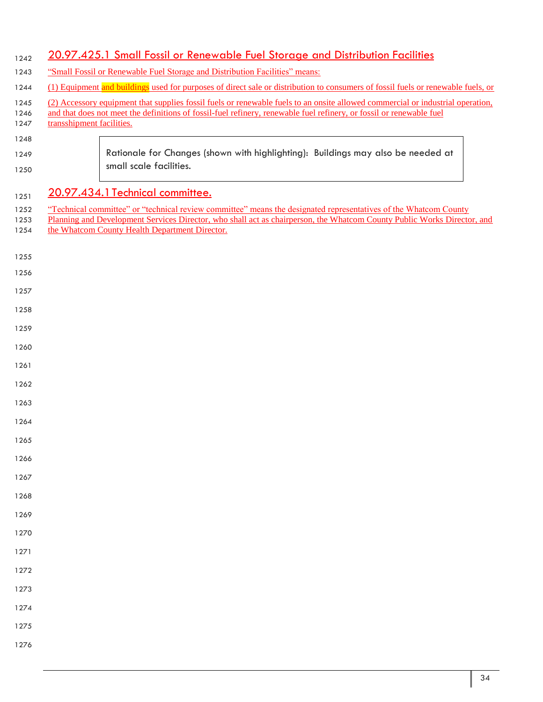# 1242 20.97.425.1 Small Fossil or Renewable Fuel Storage and Distribution Facilities

- 1243 "Small Fossil or Renewable Fuel Storage and Distribution Facilities" means:
- 1244 (1) Equipment and buildings used for purposes of direct sale or distribution to consumers of fossil fuels or renewable fuels, or
- (2) Accessory equipment that supplies fossil fuels or renewable fuels to an onsite allowed commercial or industrial operation,
- 1246 and that does not meet the definitions of fossil-fuel refinery, renewable fuel refinery, or fossil or renewable fuel
- 1247 transshipment facilities.
	- Rationale for Changes (shown with highlighting): Buildings may also be needed at small scale facilities.

# 1251 20.97.434.1 Technical committee.

- 1252 "Technical committee" or "technical review committee" means the designated representatives of the Whatcom County
- 1253 Planning and Development Services Director, who shall act as chairperson, the Whatcom County Public Works Director, and 1254 the Whatcom County Health Department Director.
- 

- 
- 
- 
- 
- 
- 
- 
- 
- 
- 
- 
- 
- 
- 
- 
- 
- 
- 
- 
- 
- 
- 
- 
- 
-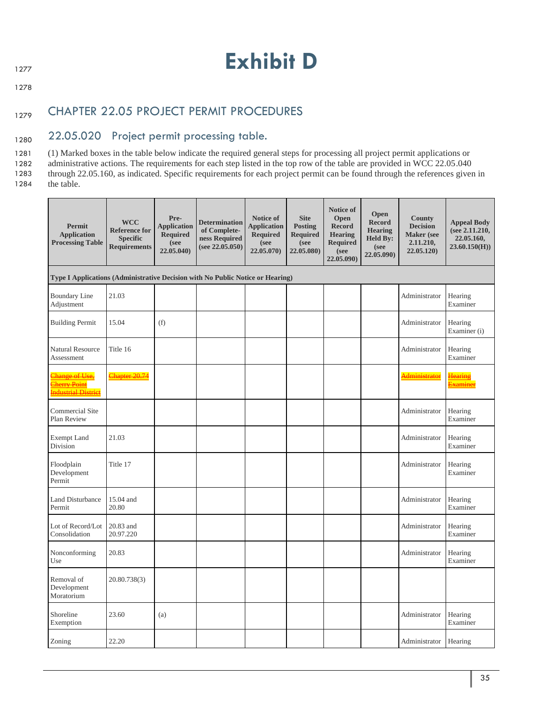# 1277 **Exhibit D**

1278

# 1279 CHAPTER 22.05 PROJECT PERMIT PROCEDURES

# 1280 22.05.020 Project permit processing table.

1281 (1) Marked boxes in the table below indicate the required general steps for processing all project permit applications or 1282 administrative actions. The requirements for each step listed in the top row of the table are provided in WCC 22.05.040 1283 through 22.05.160, as indicated. Specific requirements for each project permit can be found through the references given in 1284 the table.

| Permit<br><b>Application</b><br><b>Processing Table</b>                        | <b>WCC</b><br><b>Reference for</b><br><b>Specific</b><br><b>Requirements</b> | Pre-<br><b>Application</b><br><b>Required</b><br>(see<br>22.05.040) | <b>Determination</b><br>of Complete-<br>ness Required<br>(see 22.05.050) | Notice of<br><b>Application</b><br><b>Required</b><br>(see<br>22.05.070) | <b>Site</b><br><b>Posting</b><br><b>Required</b><br>(see<br>22.05.080) | <b>Notice of</b><br>Open<br><b>Record</b><br><b>Hearing</b><br>Required<br>(see<br>22.05.090) | Open<br><b>Record</b><br><b>Hearing</b><br><b>Held By:</b><br>(see<br>22.05.090) | <b>County</b><br><b>Decision</b><br><b>Maker</b> (see<br>2.11.210,<br>22.05.120 | <b>Appeal Body</b><br>(see 2.11.210,<br>22.05.160,<br>23.60.150(H) |
|--------------------------------------------------------------------------------|------------------------------------------------------------------------------|---------------------------------------------------------------------|--------------------------------------------------------------------------|--------------------------------------------------------------------------|------------------------------------------------------------------------|-----------------------------------------------------------------------------------------------|----------------------------------------------------------------------------------|---------------------------------------------------------------------------------|--------------------------------------------------------------------|
| Type I Applications (Administrative Decision with No Public Notice or Hearing) |                                                                              |                                                                     |                                                                          |                                                                          |                                                                        |                                                                                               |                                                                                  |                                                                                 |                                                                    |
| <b>Boundary Line</b><br>Adjustment                                             | 21.03                                                                        |                                                                     |                                                                          |                                                                          |                                                                        |                                                                                               |                                                                                  | Administrator                                                                   | Hearing<br>Examiner                                                |
| <b>Building Permit</b>                                                         | 15.04                                                                        | (f)                                                                 |                                                                          |                                                                          |                                                                        |                                                                                               |                                                                                  | Administrator                                                                   | Hearing<br>Examiner (i)                                            |
| <b>Natural Resource</b><br>Assessment                                          | Title 16                                                                     |                                                                     |                                                                          |                                                                          |                                                                        |                                                                                               |                                                                                  | Administrator                                                                   | Hearing<br>Examiner                                                |
| Change of Use,<br><b>Cherry Point</b><br><b>Industrial District</b>            | Chapter 20.74                                                                |                                                                     |                                                                          |                                                                          |                                                                        |                                                                                               |                                                                                  | <b>Administrator</b>                                                            | <u>Hearing</u><br><u>Examiner</u>                                  |
| <b>Commercial Site</b><br>Plan Review                                          |                                                                              |                                                                     |                                                                          |                                                                          |                                                                        |                                                                                               |                                                                                  | Administrator                                                                   | Hearing<br>Examiner                                                |
| <b>Exempt Land</b><br>Division                                                 | 21.03                                                                        |                                                                     |                                                                          |                                                                          |                                                                        |                                                                                               |                                                                                  | Administrator                                                                   | Hearing<br>Examiner                                                |
| Floodplain<br>Development<br>Permit                                            | Title 17                                                                     |                                                                     |                                                                          |                                                                          |                                                                        |                                                                                               |                                                                                  | Administrator                                                                   | Hearing<br>Examiner                                                |
| Land Disturbance<br>Permit                                                     | 15.04 and<br>20.80                                                           |                                                                     |                                                                          |                                                                          |                                                                        |                                                                                               |                                                                                  | Administrator                                                                   | Hearing<br>Examiner                                                |
| Lot of Record/Lot<br>Consolidation                                             | 20.83 and<br>20.97.220                                                       |                                                                     |                                                                          |                                                                          |                                                                        |                                                                                               |                                                                                  | Administrator                                                                   | Hearing<br>Examiner                                                |
| Nonconforming<br>Use                                                           | 20.83                                                                        |                                                                     |                                                                          |                                                                          |                                                                        |                                                                                               |                                                                                  | Administrator                                                                   | Hearing<br>Examiner                                                |
| Removal of<br>Development<br>Moratorium                                        | 20.80.738(3)                                                                 |                                                                     |                                                                          |                                                                          |                                                                        |                                                                                               |                                                                                  |                                                                                 |                                                                    |
| Shoreline<br>Exemption                                                         | 23.60                                                                        | (a)                                                                 |                                                                          |                                                                          |                                                                        |                                                                                               |                                                                                  | Administrator                                                                   | Hearing<br>Examiner                                                |
| Zoning                                                                         | 22.20                                                                        |                                                                     |                                                                          |                                                                          |                                                                        |                                                                                               |                                                                                  | Administrator                                                                   | Hearing                                                            |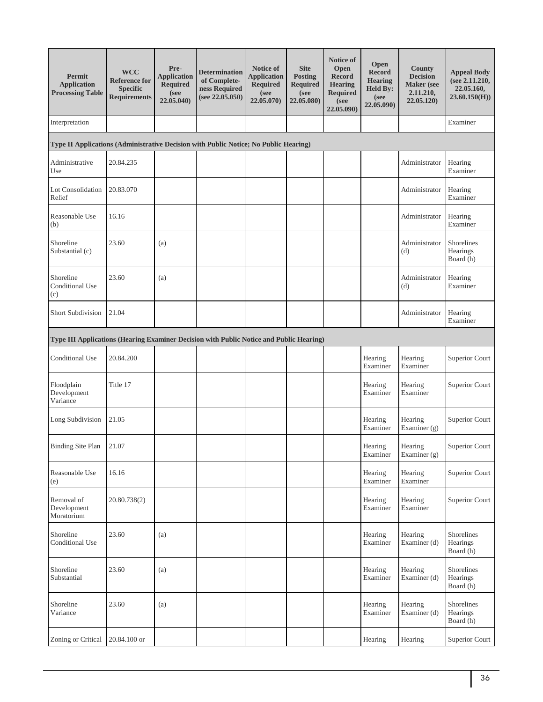| Permit<br><b>Application</b><br><b>Processing Table</b>                                 | <b>WCC</b><br><b>Reference for</b><br><b>Specific</b><br><b>Requirements</b> | Pre-<br><b>Application</b><br>Required<br>(see<br>22.05.040) | <b>Determination</b><br>of Complete-<br>ness Required<br>(see 22.05.050) | Notice of<br><b>Application</b><br><b>Required</b><br>(see<br>22.05.070) | <b>Site</b><br>Posting<br><b>Required</b><br>(see<br>22.05.080) | <b>Notice of</b><br>Open<br><b>Record</b><br><b>Hearing</b><br><b>Required</b><br>(see<br>22.05.090) | Open<br><b>Record</b><br><b>Hearing</b><br><b>Held By:</b><br>(see<br>22.05.090) | <b>County</b><br><b>Decision</b><br><b>Maker</b> (see<br>2.11.210,<br>22.05.120) | <b>Appeal Body</b><br>(see 2.11.210,<br>22.05.160,<br>23.60.150(H) |
|-----------------------------------------------------------------------------------------|------------------------------------------------------------------------------|--------------------------------------------------------------|--------------------------------------------------------------------------|--------------------------------------------------------------------------|-----------------------------------------------------------------|------------------------------------------------------------------------------------------------------|----------------------------------------------------------------------------------|----------------------------------------------------------------------------------|--------------------------------------------------------------------|
| Interpretation                                                                          |                                                                              |                                                              |                                                                          |                                                                          |                                                                 |                                                                                                      |                                                                                  |                                                                                  | Examiner                                                           |
| Type II Applications (Administrative Decision with Public Notice; No Public Hearing)    |                                                                              |                                                              |                                                                          |                                                                          |                                                                 |                                                                                                      |                                                                                  |                                                                                  |                                                                    |
| Administrative<br>Use                                                                   | 20.84.235                                                                    |                                                              |                                                                          |                                                                          |                                                                 |                                                                                                      |                                                                                  | Administrator                                                                    | Hearing<br>Examiner                                                |
| Lot Consolidation<br>Relief                                                             | 20.83.070                                                                    |                                                              |                                                                          |                                                                          |                                                                 |                                                                                                      |                                                                                  | Administrator                                                                    | Hearing<br>Examiner                                                |
| Reasonable Use<br>(b)                                                                   | 16.16                                                                        |                                                              |                                                                          |                                                                          |                                                                 |                                                                                                      |                                                                                  | Administrator                                                                    | Hearing<br>Examiner                                                |
| Shoreline<br>Substantial (c)                                                            | 23.60                                                                        | (a)                                                          |                                                                          |                                                                          |                                                                 |                                                                                                      |                                                                                  | Administrator<br>(d)                                                             | Shorelines<br>Hearings<br>Board (h)                                |
| Shoreline<br>Conditional Use<br>(c)                                                     | 23.60                                                                        | (a)                                                          |                                                                          |                                                                          |                                                                 |                                                                                                      |                                                                                  | Administrator<br>(d)                                                             | Hearing<br>Examiner                                                |
| Short Subdivision                                                                       | 21.04                                                                        |                                                              |                                                                          |                                                                          |                                                                 |                                                                                                      |                                                                                  | Administrator                                                                    | Hearing<br>Examiner                                                |
| Type III Applications (Hearing Examiner Decision with Public Notice and Public Hearing) |                                                                              |                                                              |                                                                          |                                                                          |                                                                 |                                                                                                      |                                                                                  |                                                                                  |                                                                    |
| Conditional Use                                                                         | 20.84.200                                                                    |                                                              |                                                                          |                                                                          |                                                                 |                                                                                                      | Hearing<br>Examiner                                                              | Hearing<br>Examiner                                                              | Superior Court                                                     |
| Floodplain<br>Development<br>Variance                                                   | Title 17                                                                     |                                                              |                                                                          |                                                                          |                                                                 |                                                                                                      | Hearing<br>Examiner                                                              | Hearing<br>Examiner                                                              | Superior Court                                                     |
| Long Subdivision                                                                        | 21.05                                                                        |                                                              |                                                                          |                                                                          |                                                                 |                                                                                                      | Hearing<br>Examiner                                                              | Hearing<br>Examiner $(g)$                                                        | Superior Court                                                     |
| <b>Binding Site Plan</b>                                                                | 21.07                                                                        |                                                              |                                                                          |                                                                          |                                                                 |                                                                                                      | Hearing<br>Examiner                                                              | Hearing<br>Examiner (g)                                                          | <b>Superior Court</b>                                              |
| Reasonable Use<br>(e)                                                                   | 16.16                                                                        |                                                              |                                                                          |                                                                          |                                                                 |                                                                                                      | Hearing<br>Examiner                                                              | Hearing<br>Examiner                                                              | Superior Court                                                     |
| Removal of<br>Development<br>Moratorium                                                 | 20.80.738(2)                                                                 |                                                              |                                                                          |                                                                          |                                                                 |                                                                                                      | Hearing<br>Examiner                                                              | Hearing<br>Examiner                                                              | Superior Court                                                     |
| Shoreline<br>Conditional Use                                                            | 23.60                                                                        | (a)                                                          |                                                                          |                                                                          |                                                                 |                                                                                                      | Hearing<br>Examiner                                                              | Hearing<br>Examiner (d)                                                          | Shorelines<br>Hearings<br>Board (h)                                |
| Shoreline<br>Substantial                                                                | 23.60                                                                        | (a)                                                          |                                                                          |                                                                          |                                                                 |                                                                                                      | Hearing<br>Examiner                                                              | Hearing<br>Examiner (d)                                                          | Shorelines<br>Hearings<br>Board (h)                                |
| Shoreline<br>Variance                                                                   | 23.60                                                                        | (a)                                                          |                                                                          |                                                                          |                                                                 |                                                                                                      | Hearing<br>Examiner                                                              | Hearing<br>Examiner (d)                                                          | Shorelines<br>Hearings<br>Board (h)                                |
| Zoning or Critical                                                                      | 20.84.100 or                                                                 |                                                              |                                                                          |                                                                          |                                                                 |                                                                                                      | Hearing                                                                          | Hearing                                                                          | Superior Court                                                     |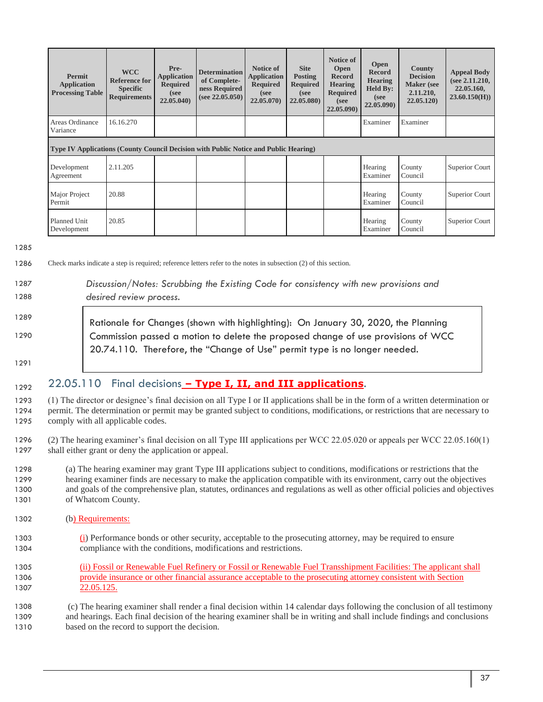| <b>Permit</b><br><b>Application</b><br><b>Processing Table</b>                              | <b>WCC</b><br><b>Reference for</b><br><b>Specific</b><br><b>Requirements</b> | Pre-<br><b>Application</b><br><b>Required</b><br>(see<br>22.05.040 | <b>Determination</b><br>of Complete-<br>ness Required<br>(see 22.05.050) | Notice of<br><b>Application</b><br><b>Required</b><br>(see<br>22.05.070 | <b>Site</b><br><b>Posting</b><br><b>Required</b><br>(see<br>22.05.080) | Notice of<br><b>Open</b><br><b>Record</b><br><b>Hearing</b><br><b>Required</b><br>(see<br>22.05.090) | <b>Open</b><br><b>Record</b><br><b>Hearing</b><br><b>Held By:</b><br>(see<br>22.05.090) | <b>County</b><br><b>Decision</b><br><b>Maker</b> (see<br>2.11.210,<br>22.05.120 | <b>Appeal Body</b><br>(see 2.11.210,<br>22.05.160,<br>23.60.150(H) |
|---------------------------------------------------------------------------------------------|------------------------------------------------------------------------------|--------------------------------------------------------------------|--------------------------------------------------------------------------|-------------------------------------------------------------------------|------------------------------------------------------------------------|------------------------------------------------------------------------------------------------------|-----------------------------------------------------------------------------------------|---------------------------------------------------------------------------------|--------------------------------------------------------------------|
| Areas Ordinance<br>Variance                                                                 | 16.16.270                                                                    |                                                                    |                                                                          |                                                                         |                                                                        |                                                                                                      | Examiner                                                                                | Examiner                                                                        |                                                                    |
| <b>Type IV Applications (County Council Decision with Public Notice and Public Hearing)</b> |                                                                              |                                                                    |                                                                          |                                                                         |                                                                        |                                                                                                      |                                                                                         |                                                                                 |                                                                    |
| Development<br>Agreement                                                                    | 2.11.205                                                                     |                                                                    |                                                                          |                                                                         |                                                                        |                                                                                                      | Hearing<br>Examiner                                                                     | County<br>Council                                                               | Superior Court                                                     |
| Major Project<br>Permit                                                                     | 20.88                                                                        |                                                                    |                                                                          |                                                                         |                                                                        |                                                                                                      | Hearing<br>Examiner                                                                     | County<br>Council                                                               | Superior Court                                                     |
| Planned Unit<br>Development                                                                 | 20.85                                                                        |                                                                    |                                                                          |                                                                         |                                                                        |                                                                                                      | Hearing<br>Examiner                                                                     | County<br>Council                                                               | Superior Court                                                     |

1285

1286 Check marks indicate a step is required; reference letters refer to the notes in subsection (2) of this section.

### 1287 *Discussion/Notes: Scrubbing the Existing Code for consistency with new provisions and*  1288 *desired review process.* 1289 1290 Rationale for Changes (shown with highlighting): On January 30, 2020, the Planning Commission passed a motion to delete the proposed change of use provisions of WCC 20.74.110. Therefore, the "Change of Use" permit type is no longer needed.

#### 1291

### 1292 22.05.110 Final decisions - Type I, II, and III applications.

1293 (1) The director or designee's final decision on all Type I or II applications shall be in the form of a written determination or 1294 permit. The determination or permit may be granted subject to conditions, modifications, or restrictions that are necessary to 1295 comply with all applicable codes.

- 1296 (2) The hearing examiner's final decision on all Type III applications per WCC 22.05.020 or appeals per WCC 22.05.160(1) 1297 shall either grant or deny the application or appeal.
- 1298 (a) The hearing examiner may grant Type III applications subject to conditions, modifications or restrictions that the 1299 hearing examiner finds are necessary to make the application compatible with its environment, carry out the objectives 1300 and goals of the comprehensive plan, statutes, ordinances and regulations as well as other official policies and objectives 1301 of Whatcom County.
- 1302 (b) Requirements:
- 1303 (i) Performance bonds or other security, acceptable to the prosecuting attorney, may be required to ensure 1304 compliance with the conditions, modifications and restrictions.
- 1305 (ii) Fossil or Renewable Fuel Refinery or Fossil or Renewable Fuel Transshipment Facilities: The applicant shall 1306 provide insurance or other financial assurance acceptable to the prosecuting attorney consistent with Section 1307 22.05.125.

1308 (c) The hearing examiner shall render a final decision within 14 calendar days following the conclusion of all testimony 1309 and hearings. Each final decision of the hearing examiner shall be in writing and shall include findings and conclusions 1310 based on the record to support the decision.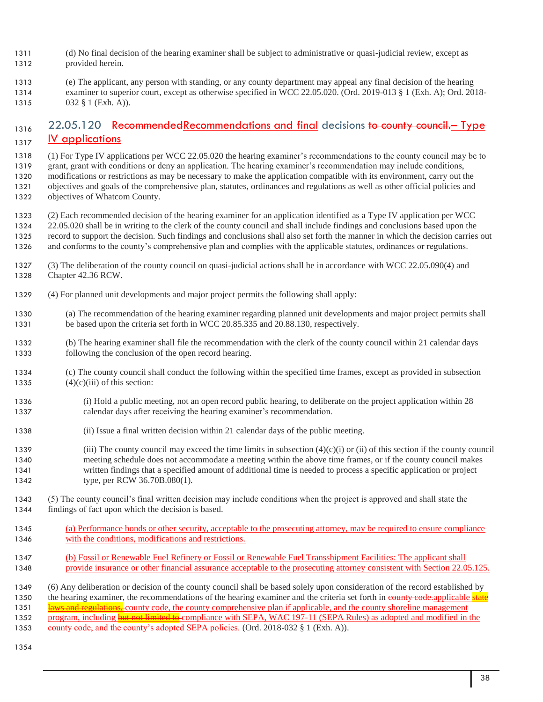- (d) No final decision of the hearing examiner shall be subject to administrative or quasi-judicial review, except as
- provided herein.
- (e) The applicant, any person with standing, or any county department may appeal any final decision of the hearing
- examiner to superior court, except as otherwise specified in WCC 22.05.020. (Ord. 2019-013 § 1 (Exh. A); Ord. 2018- 1315 032 § 1 (Exh. A)).

# <sub>1316</sub> 22.05.120 RecommendedRecommendations and final decisions to county council. Type **IV applications**

- (1) For Type IV applications per WCC 22.05.020 the hearing examiner's recommendations to the county council may be to grant, grant with conditions or deny an application. The hearing examiner's recommendation may include conditions, modifications or restrictions as may be necessary to make the application compatible with its environment, carry out the objectives and goals of the comprehensive plan, statutes, ordinances and regulations as well as other official policies and
- objectives of Whatcom County.

 (2) Each recommended decision of the hearing examiner for an application identified as a Type IV application per WCC 22.05.020 shall be in writing to the clerk of the county council and shall include findings and conclusions based upon the record to support the decision. Such findings and conclusions shall also set forth the manner in which the decision carries out and conforms to the county's comprehensive plan and complies with the applicable statutes, ordinances or regulations.

- (3) The deliberation of the county council on quasi-judicial actions shall be in accordance with WCC 22.05.090(4) and Chapter 42.36 RCW.
- (4) For planned unit developments and major project permits the following shall apply:
- (a) The recommendation of the hearing examiner regarding planned unit developments and major project permits shall 1331 be based upon the criteria set forth in WCC 20.85.335 and 20.88.130, respectively.
- (b) The hearing examiner shall file the recommendation with the clerk of the county council within 21 calendar days following the conclusion of the open record hearing.
- (c) The county council shall conduct the following within the specified time frames, except as provided in subsection 1335  $(4)(c)(iii)$  of this section:
- (i) Hold a public meeting, not an open record public hearing, to deliberate on the project application within 28 calendar days after receiving the hearing examiner's recommendation.
- (ii) Issue a final written decision within 21 calendar days of the public meeting.
- 1339 (iii) The county council may exceed the time limits in subsection  $(4)(c)(i)$  or (ii) of this section if the county council meeting schedule does not accommodate a meeting within the above time frames, or if the county council makes written findings that a specified amount of additional time is needed to process a specific application or project type, per RCW 36.70B.080(1).
- (5) The county council's final written decision may include conditions when the project is approved and shall state the findings of fact upon which the decision is based.
- (a) Performance bonds or other security, acceptable to the prosecuting attorney, may be required to ensure compliance with the conditions, modifications and restrictions.
- (b) Fossil or Renewable Fuel Refinery or Fossil or Renewable Fuel Transshipment Facilities: The applicant shall provide insurance or other financial assurance acceptable to the prosecuting attorney consistent with Section 22.05.125.
- (6) Any deliberation or decision of the county council shall be based solely upon consideration of the record established by
- 1350 the hearing examiner, the recommendations of the hearing examiner and the criteria set forth in county code.applicable state
- **laws and regulations,** county code, the county comprehensive plan if applicable, and the county shoreline management
- 1352 program, including but not limited to compliance with SEPA, WAC 197-11 (SEPA Rules) as adopted and modified in the
- county code, and the county's adopted SEPA policies. (Ord. 2018-032 § 1 (Exh. A)).
-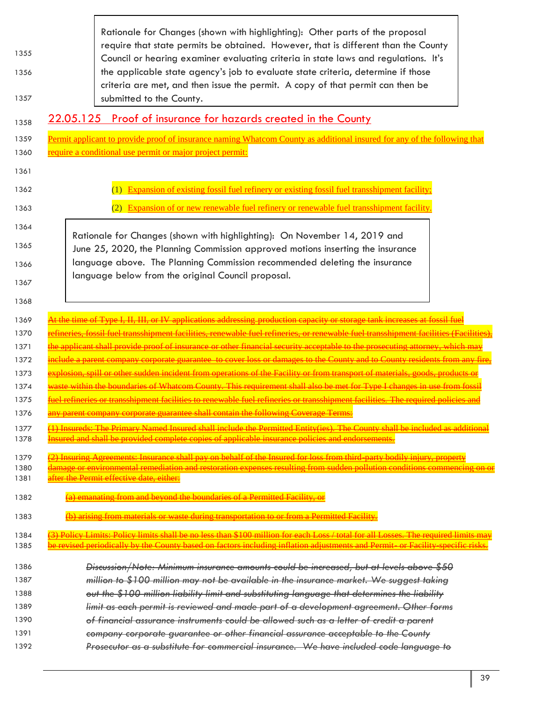| 1355<br>1356<br>1357                 | Rationale for Changes (shown with highlighting): Other parts of the proposal<br>require that state permits be obtained. However, that is different than the County<br>Council or hearing examiner evaluating criteria in state laws and regulations. It's<br>the applicable state agency's job to evaluate state criteria, determine if those<br>criteria are met, and then issue the permit. A copy of that permit can then be<br>submitted to the County. |
|--------------------------------------|-------------------------------------------------------------------------------------------------------------------------------------------------------------------------------------------------------------------------------------------------------------------------------------------------------------------------------------------------------------------------------------------------------------------------------------------------------------|
| 1358                                 | <u>22.05.125 Proof of insurance for hazards created in the County</u>                                                                                                                                                                                                                                                                                                                                                                                       |
| 1359                                 | Permit applicant to provide proof of insurance naming Whatcom County as additional insured for any of the following that                                                                                                                                                                                                                                                                                                                                    |
| 1360                                 | require a conditional use permit or major project permit:                                                                                                                                                                                                                                                                                                                                                                                                   |
| 1361<br>1362<br>1363                 | (1) Expansion of existing fossil fuel refinery or existing fossil fuel transshipment facility;<br>(2) Expansion of or new renewable fuel refinery or renewable fuel transshipment facility.                                                                                                                                                                                                                                                                 |
| 1364<br>1365<br>1366<br>1367<br>1368 | Rationale for Changes (shown with highlighting): On November 14, 2019 and<br>June 25, 2020, the Planning Commission approved motions inserting the insurance<br>language above. The Planning Commission recommended deleting the insurance<br>language below from the original Council proposal.                                                                                                                                                            |
| 1369                                 | the time of Type I, II, III, or IV applications addressing production capacity or storage tank increases at fossil                                                                                                                                                                                                                                                                                                                                          |
| 1370                                 | <mark>fineries, fossil fuel transshipment facilities, renewable fuel refineries, or renewable fuel transshipment facilities (Facilities</mark>                                                                                                                                                                                                                                                                                                              |
| 1371                                 | the applicant shall provide proof of insurance or other financial security acceptable to the prosecuting attorney, which may                                                                                                                                                                                                                                                                                                                                |
| 1372                                 | <del>include a parent company corporate guarantee to cover loss or damages to the County and to County residents from any fire,</del>                                                                                                                                                                                                                                                                                                                       |
| 1373                                 | <del>explosion, spill or other sudden incident from operations of the Facility or from transport of materials, goods, products or</del>                                                                                                                                                                                                                                                                                                                     |
| 1374                                 | waste within the boundaries of Whatcom County. This requirement shall also be met for Type I changes in use from fossil                                                                                                                                                                                                                                                                                                                                     |
| 1375                                 | fuel refineries or transshipment facilities to renewable fuel refineries or transshipment facilities. The required policies and                                                                                                                                                                                                                                                                                                                             |
| 1376                                 | any parent company corporate guarantee shall contain the following Coverage Terms:                                                                                                                                                                                                                                                                                                                                                                          |
| 1377                                 | (1) Insureds: The Primary Named Insured shall include the Permitted Entity(ies). The County shall be included as additional                                                                                                                                                                                                                                                                                                                                 |
| 1378                                 | Insured and shall be provided complete copies of applicable insurance policies and endorsements.                                                                                                                                                                                                                                                                                                                                                            |
| 1379                                 | (2) Insuring Agreements: Insurance shall pay on behalf of the Insured for loss from third-party bodily injury, property                                                                                                                                                                                                                                                                                                                                     |
| 1380                                 | <mark>damage or environmental remediation and restoration expenses resulting from sudden pollution conditions commencing on or</mark>                                                                                                                                                                                                                                                                                                                       |
| 1381                                 | after the Permit effective date, either:                                                                                                                                                                                                                                                                                                                                                                                                                    |
| 1382                                 | (a) emanating from and beyond the boundaries of a Permitted Facility, or                                                                                                                                                                                                                                                                                                                                                                                    |
| 1383                                 | (b) arising from materials or waste during transportation to or from a Permitted Facility.                                                                                                                                                                                                                                                                                                                                                                  |
| 1384                                 | (3) Policy Limits: Policy limits shall be no less than \$100 million for each Loss / total for all Losses. The required limits may                                                                                                                                                                                                                                                                                                                          |
| 1385                                 | be revised periodically by the County based on factors including inflation adjustments and Permit or Facility specific risks.                                                                                                                                                                                                                                                                                                                               |
| 1386                                 | Discussion/Note: Minimum insurance amounts could be increased, but at levels above \$50                                                                                                                                                                                                                                                                                                                                                                     |
| 1387                                 | million to \$100 million may not be available in the insurance market. We suggest taking                                                                                                                                                                                                                                                                                                                                                                    |
| 1388                                 | out the \$100 million liability limit and substituting language that determines the liability                                                                                                                                                                                                                                                                                                                                                               |
| 1389                                 | limit as each permit is reviewed and made part of a development agreement. Other forms                                                                                                                                                                                                                                                                                                                                                                      |
| 1390                                 | of financial assurance instruments could be allowed such as a letter of credit a parent                                                                                                                                                                                                                                                                                                                                                                     |
| 1391                                 | company corporate guarantee or other financial assurance acceptable to the County                                                                                                                                                                                                                                                                                                                                                                           |
| 1392                                 | Prosecutor as a substitute for commercial insurance. We have included code language to                                                                                                                                                                                                                                                                                                                                                                      |

 $\sqrt{ }$